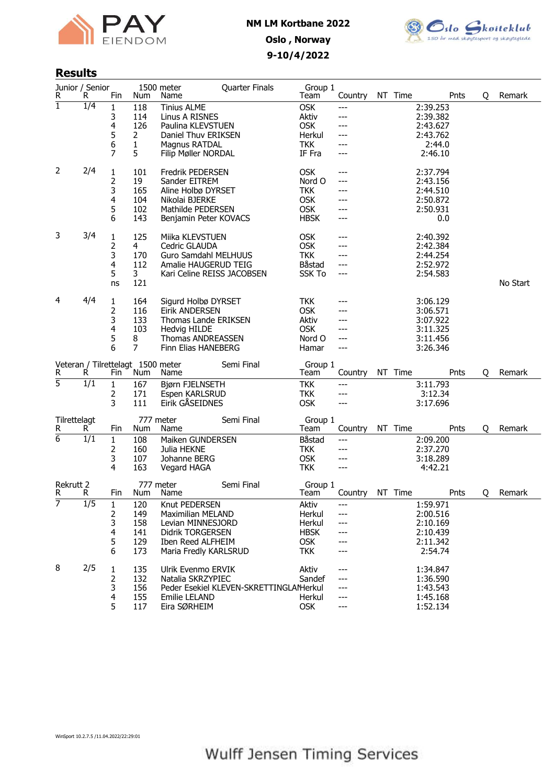



## Results

| R                 | Junior / Senior<br>R | Fin                                     | Num                                      | 1500 meter<br>Name                                                                                                                             | <b>Quarter Finals</b>                  | Group 1<br>Team                                                               | Country                                  | NT Time |                                                                      | Pnts | Q | Remark   |
|-------------------|----------------------|-----------------------------------------|------------------------------------------|------------------------------------------------------------------------------------------------------------------------------------------------|----------------------------------------|-------------------------------------------------------------------------------|------------------------------------------|---------|----------------------------------------------------------------------|------|---|----------|
| $\mathbf{1}$      | $\overline{1/4}$     | 1<br>3<br>4<br>5<br>6<br>$\overline{7}$ | 118<br>114<br>126<br>2<br>1<br>5         | <b>Tinius ALME</b><br>Linus A RISNES<br>Paulina KLEVSTUEN<br>Daniel Thuv ERIKSEN<br>Magnus RATDAL<br>Filip Møller NORDAL                       |                                        | <b>OSK</b><br>Aktiv<br><b>OSK</b><br>Herkul<br><b>TKK</b><br>IF Fra           | $---$<br>---<br>---<br>---<br>---<br>--- |         | 2:39.253<br>2:39.382<br>2:43.627<br>2:43.762<br>2:44.0<br>2:46.10    |      |   |          |
| 2                 | 2/4                  | 1<br>2<br>3<br>4<br>5<br>6              | 101<br>19<br>165<br>104<br>102<br>143    | Fredrik PEDERSEN<br>Sander EITREM<br>Aline Holbø DYRSET<br>Nikolai BJERKE<br>Mathilde PEDERSEN<br>Benjamin Peter KOVACS                        |                                        | <b>OSK</b><br>Nord O<br><b>TKK</b><br><b>OSK</b><br><b>OSK</b><br><b>HBSK</b> | ---<br>---<br>---<br>---<br>---<br>---   |         | 2:37.794<br>2:43.156<br>2:44.510<br>2:50.872<br>2:50.931<br>0.0      |      |   |          |
| 3                 | 3/4                  | 1<br>2<br>3<br>4<br>5<br>ns             | 125<br>4<br>170<br>112<br>3<br>121       | Miika KLEVSTUEN<br>Cedric GLAUDA<br>Guro Samdahl MELHUUS<br>Amalie HAUGERUD TEIG<br>Kari Celine REISS JACOBSEN                                 |                                        | <b>OSK</b><br><b>OSK</b><br>TKK<br>Båstad<br><b>SSK To</b>                    | ---<br>---<br>---<br>---                 |         | 2:40.392<br>2:42.384<br>2:44.254<br>2:52.972<br>2:54.583             |      |   | No Start |
| 4                 | 4/4                  | 1<br>2<br>3<br>4<br>5<br>6              | 164<br>116<br>133<br>103<br>8<br>7       | Sigurd Holbø DYRSET<br><b>Eirik ANDERSEN</b><br>Thomas Lande ERIKSEN<br><b>Hedvig HILDE</b><br><b>Thomas ANDREASSEN</b><br>Finn Elias HANEBERG |                                        | <b>TKK</b><br><b>OSK</b><br>Aktiv<br><b>OSK</b><br>Nord O<br>Hamar            | ---<br>---<br>---<br>---<br>---          |         | 3:06.129<br>3:06.571<br>3:07.922<br>3:11.325<br>3:11.456<br>3:26.346 |      |   |          |
| R                 | R.                   | Fin                                     | Veteran / Tilrettelagt 1500 meter<br>Num | Name                                                                                                                                           | Semi Final                             | Group 1<br>Team                                                               | Country                                  | NT Time |                                                                      | Pnts | Q | Remark   |
| $\overline{5}$    | $\overline{1/1}$     | 1<br>2<br>3                             | 167<br>171<br>111                        | Bjørn FJELNSETH<br>Espen KARLSRUD<br>Eirik GÅSEIDNES                                                                                           |                                        | <b>TKK</b><br><b>TKK</b><br><b>OSK</b>                                        | ---<br>---<br>---                        |         | 3:11.793<br>3:12.34<br>3:17.696                                      |      |   |          |
| Tilrettelagt<br>R | R                    | Fin                                     | Num                                      | 777 meter<br>Name                                                                                                                              | Semi Final                             | Group 1<br>Team                                                               | Country                                  | NT Time |                                                                      | Pnts | Q | Remark   |
| $\overline{6}$    | 1/1                  | 1<br>2<br>3<br>4                        | 108<br>160<br>107<br>163                 | Maiken GUNDERSEN<br>Julia HEKNE<br>Johanne BERG<br>Vegard HAGA                                                                                 |                                        | Båstad<br><b>TKK</b><br><b>OSK</b><br><b>TKK</b>                              | ---<br>---<br>---<br>---                 |         | 2:09.200<br>2:37.270<br>3:18.289<br>4:42.21                          |      |   |          |
| Rekrutt 2<br>R    | R                    | Fin                                     | Num                                      | 777 meter<br>Name                                                                                                                              | Semi Final                             | Group 1<br>Team                                                               | Country                                  | NT Time |                                                                      | Pnts | Q | Remark   |
| 7                 | $\overline{1/5}$     | 1<br>2<br>3<br>4<br>5<br>6              | 120<br>149<br>158<br>141<br>129<br>173   | Knut PEDERSEN<br><b>Maximilian MELAND</b><br>Levian MINNESJORD<br><b>Didrik TORGERSEN</b><br>Iben Reed ALFHEIM<br>Maria Fredly KARLSRUD        |                                        | Aktiv<br>Herkul<br>Herkul<br><b>HBSK</b><br><b>OSK</b><br>TKK                 | ---                                      |         | 1:59.971<br>2:00.516<br>2:10.169<br>2:10.439<br>2:11.342<br>2:54.74  |      |   |          |
| 8                 | 2/5                  | 1<br>2<br>3<br>4<br>5                   | 135<br>132<br>156<br>155<br>117          | Ulrik Evenmo ERVIK<br>Natalia SKRZYPIEC<br>Emilie LELAND<br>Eira SØRHEIM                                                                       | Peder Esekiel KLEVEN-SKRETTINGLAMerkul | Aktiv<br>Sandef<br>Herkul<br><b>OSK</b>                                       | ---<br>---<br>---<br>---<br>---          |         | 1:34.847<br>1:36.590<br>1:43.543<br>1:45.168<br>1:52.134             |      |   |          |

WinSport 10.2.7.5 /11.04.2022/22:29:01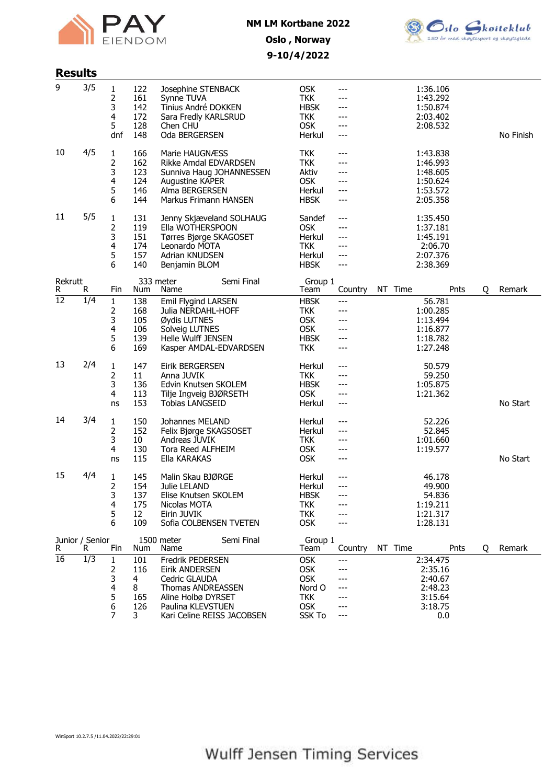



# 9-10/4/2022

| <b>Results</b>  |                       |                                 |                                         |                                                                                                                                                          |                                                                                        |                                              |                                                                      |      |   |           |
|-----------------|-----------------------|---------------------------------|-----------------------------------------|----------------------------------------------------------------------------------------------------------------------------------------------------------|----------------------------------------------------------------------------------------|----------------------------------------------|----------------------------------------------------------------------|------|---|-----------|
| 9               | 3/5                   | 1<br>2<br>3<br>4<br>5<br>dnf    | 122<br>161<br>142<br>172<br>128<br>148  | Josephine STENBACK<br>Synne TUVA<br>Tinius André DOKKEN<br>Sara Fredly KARLSRUD<br>Chen CHU<br>Oda BERGERSEN                                             | <b>OSK</b><br><b>TKK</b><br><b>HBSK</b><br><b>TKK</b><br><b>OSK</b><br>Herkul          | ---<br>---<br>---<br>$---$<br>---<br>$---$   | 1:36.106<br>1:43.292<br>1:50.874<br>2:03.402<br>2:08.532             |      |   | No Finish |
| 10              | 4/5                   | 1<br>2<br>3<br>4<br>5<br>6      | 166<br>162<br>123<br>124<br>146<br>144  | Marie HAUGNÆSS<br>Rikke Amdal EDVARDSEN<br>Sunniva Haug JOHANNESSEN<br>Augustine KAPER<br>Alma BERGERSEN<br>Markus Frimann HANSEN                        | <b>TKK</b><br><b>TKK</b><br>Aktiv<br><b>OSK</b><br>Herkul<br><b>HBSK</b>               | $---$<br>---<br>---<br>---<br>$---$          | 1:43.838<br>1:46.993<br>1:48.605<br>1:50.624<br>1:53.572<br>2:05.358 |      |   |           |
| 11              | 5/5                   | 1<br>2<br>3<br>4<br>5<br>6      | 131<br>119<br>151<br>174<br>157<br>140  | Jenny Skjæveland SOLHAUG<br>Ella WOTHERSPOON<br>Tørres Bjørge SKAGOSET<br>Leonardo MOTA<br>Adrian KNUDSEN<br>Benjamin BLOM                               | Sandef<br><b>OSK</b><br>Herkul<br><b>TKK</b><br>Herkul<br><b>HBSK</b>                  | $---$<br>---<br>$---$<br>---<br>$---$<br>--- | 1:35.450<br>1:37.181<br>1:45.191<br>2:06.70<br>2:07.376<br>2:38.369  |      |   |           |
| Rekrutt<br>R    | R.                    | Fin                             | Num                                     | 333 meter<br>Semi Final<br>Name                                                                                                                          | Group 1<br>Team                                                                        | Country                                      | NT Time                                                              | Pnts | Q | Remark    |
| $\overline{12}$ | 1/4                   | 1<br>2<br>3<br>4<br>5<br>6      | 138<br>168<br>105<br>106<br>139<br>169  | Emil Flygind LARSEN<br>Julia NERDAHL-HOFF<br>Øydis LUTNES<br>Solveig LUTNES<br><b>Helle Wulff JENSEN</b><br>Kasper AMDAL-EDVARDSEN                       | <b>HBSK</b><br><b>TKK</b><br><b>OSK</b><br>OSK<br><b>HBSK</b><br><b>TKK</b>            | ---<br>$---$<br>---<br>$---$<br>---<br>$---$ | 56.781<br>1:00.285<br>1:13.494<br>1:16.877<br>1:18.782<br>1:27.248   |      |   |           |
| 13              | 2/4                   | 1<br>2<br>3<br>4<br>ns          | 147<br>11<br>136<br>113<br>153          | <b>Eirik BERGERSEN</b><br>Anna JUVIK<br>Edvin Knutsen SKOLEM<br>Tilje Ingveig BJØRSETH<br><b>Tobias LANGSEID</b>                                         | Herkul<br><b>TKK</b><br><b>HBSK</b><br><b>OSK</b><br>Herkul                            | ---<br>---<br>$---$<br>---<br>$---$          | 50.579<br>59.250<br>1:05.875<br>1:21.362                             |      |   | No Start  |
| 14              | 3/4                   | 1<br>2<br>3<br>4<br>ns          | 150<br>152<br>10<br>130<br>115          | Johannes MELAND<br>Felix Bjørge SKAGSOSET<br>Andreas JUVIK<br><b>Tora Reed ALFHEIM</b><br>Ella KARAKAS                                                   | Herkul<br>Herkul<br><b>TKK</b><br><b>OSK</b><br><b>OSK</b>                             | $---$<br>$---$<br>---<br>---<br>---          | 52.226<br>52.845<br>1:01.660<br>1:19.577                             |      |   | No Start  |
| 15              | 4/4                   | 1<br>2<br>3<br>4<br>5<br>6      | 145<br>154<br>137<br>175<br>12<br>109   | Malin Skau BJØRGE<br>Julie LELAND<br>Elise Knutsen SKOLEM<br>Nicolas MOTA<br>Eirin JUVIK<br>Sofia COLBENSEN TVETEN                                       | Herkul<br>Herkul<br><b>HBSK</b><br><b>TKK</b><br><b>TKK</b><br><b>OSK</b>              | $---$<br>$---$                               | 46.178<br>49.900<br>54.836<br>1:19.211<br>1:21.317<br>1:28.131       |      |   |           |
| R.              | Junior / Senior<br>R. | Fin                             | Num                                     | 1500 meter<br>Semi Final<br>Name                                                                                                                         | Group 1<br>Team                                                                        | Country                                      | NT Time                                                              | Pnts | Q | Remark    |
| $\overline{16}$ | $\overline{1/3}$      | 1<br>2<br>3<br>4<br>5<br>6<br>7 | 101<br>116<br>4<br>8<br>165<br>126<br>3 | Fredrik PEDERSEN<br>Eirik ANDERSEN<br>Cedric GLAUDA<br><b>Thomas ANDREASSEN</b><br>Aline Holbø DYRSET<br>Paulina KLEVSTUEN<br>Kari Celine REISS JACOBSEN | <b>OSK</b><br><b>OSK</b><br><b>OSK</b><br>Nord O<br><b>TKK</b><br><b>OSK</b><br>SSK To | ---<br>---<br>---<br>---                     | 2:34.475<br>2:35.16<br>2:40.67<br>2:48.23<br>3:15.64<br>3:18.75      | 0.0  |   |           |

WinSport 10.2.7.5 /11.04.2022/22:29:01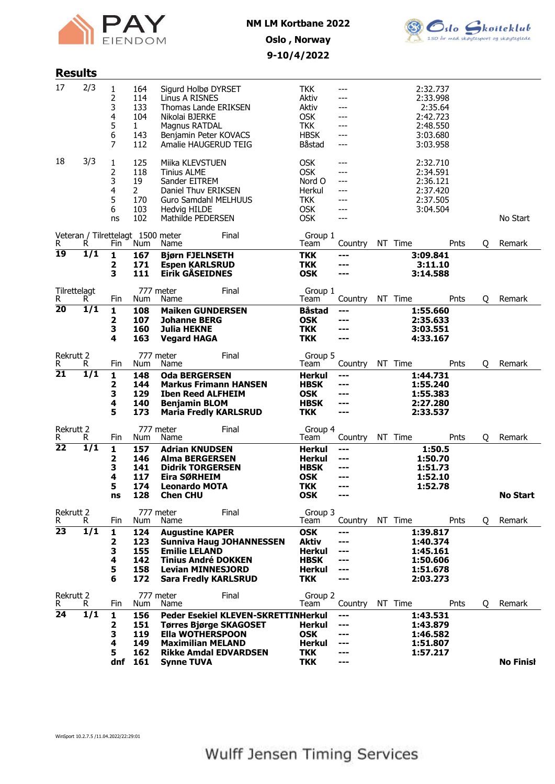



# 9-10/4/2022

| <b>Results</b>                              |                                     |                                                       |                                                                                                                                                                                                 |                                                                                        |                                                     |    |                                                                                 |      |   |                            |
|---------------------------------------------|-------------------------------------|-------------------------------------------------------|-------------------------------------------------------------------------------------------------------------------------------------------------------------------------------------------------|----------------------------------------------------------------------------------------|-----------------------------------------------------|----|---------------------------------------------------------------------------------|------|---|----------------------------|
| 2/3<br>17                                   | 1<br>2<br>3<br>4<br>5<br>6<br>7     | 164<br>114<br>133<br>104<br>1<br>143<br>112           | Sigurd Holbø DYRSET<br>Linus A RISNES<br><b>Thomas Lande ERIKSEN</b><br>Nikolai BJERKE<br>Magnus RATDAL<br>Benjamin Peter KOVACS<br>Amalie HAUGERUD TEIG                                        | <b>TKK</b><br>Aktiv<br>Aktiv<br><b>OSK</b><br><b>TKK</b><br><b>HBSK</b><br>Båstad      | ---<br>---<br>---<br>$---$<br>$---$                 |    | 2:32.737<br>2:33.998<br>2:35.64<br>2:42.723<br>2:48.550<br>3:03.680<br>3:03.958 |      |   |                            |
| 3/3<br>18                                   | 1<br>2<br>3<br>4<br>5<br>6<br>ns    | 125<br>118<br>19<br>$\mathbf{2}$<br>170<br>103<br>102 | Miika KLEVSTUEN<br><b>Tinius ALME</b><br>Sander EITREM<br>Daniel Thuv ERIKSEN<br>Guro Samdahl MELHUUS<br>Hedvig HILDE<br>Mathilde PEDERSEN                                                      | <b>OSK</b><br><b>OSK</b><br>Nord O<br>Herkul<br><b>TKK</b><br><b>OSK</b><br><b>OSK</b> | ---<br>---<br>---<br>$---$<br>---<br>---            |    | 2:32.710<br>2:34.591<br>2:36.121<br>2:37.420<br>2:37.505<br>3:04.504            |      |   | No Start                   |
| Veteran / Tilrettelagt 1500 meter<br>R<br>R | Fin                                 | Num                                                   | Final<br>Name                                                                                                                                                                                   | Group 1<br>Team                                                                        | Country                                             |    | NT Time                                                                         | Pnts | Q | Remark                     |
| 19<br>1/1                                   | 1<br>2<br>3                         | 167<br>171<br>111                                     | <b>Bjørn FJELNSETH</b><br><b>Espen KARLSRUD</b><br><b>Eirik GÅSEIDNES</b>                                                                                                                       | <b>TKK</b><br><b>TKK</b><br><b>OSK</b>                                                 | ---<br>---<br>---                                   |    | 3:09.841<br>3:11.10<br>3:14.588                                                 |      |   |                            |
| Tilrettelagt                                |                                     |                                                       | 777 meter<br>Final<br>Name                                                                                                                                                                      | Group 1                                                                                |                                                     |    | NT Time                                                                         |      |   | Remark                     |
| R<br>R.<br>20<br>$\overline{1/1}$           | Fin<br>1<br>2<br>3<br>4             | Num<br>108<br>107<br>160<br>163                       | <b>Maiken GUNDERSEN</b><br><b>Johanne BERG</b><br><b>Julia HEKNE</b><br><b>Vegard HAGA</b>                                                                                                      | Team<br><b>Båstad</b><br><b>OSK</b><br><b>TKK</b><br><b>TKK</b>                        | Country<br>---<br>---<br>---                        |    | 1:55.660<br>2:35.633<br>3:03.551<br>4:33.167                                    | Pnts | Q |                            |
| <b>Rekrutt 2</b><br>R<br>R.                 | Fin                                 | Num                                                   | 777 meter<br>Final<br>Name                                                                                                                                                                      | Group 5<br>Team                                                                        | Country                                             |    | NT Time                                                                         | Pnts | Q | Remark                     |
| 21<br>$\overline{1/1}$                      | 1<br>2<br>3<br>4<br>5               | 148<br>144<br>129<br>140<br>173                       | <b>Oda BERGERSEN</b><br><b>Markus Frimann HANSEN</b><br><b>Iben Reed ALFHEIM</b><br><b>Benjamin BLOM</b><br><b>Maria Fredly KARLSRUD</b>                                                        | Herkul<br><b>HBSK</b><br>OSK<br><b>HBSK</b><br><b>TKK</b>                              | ---<br>---<br>---<br>$- - -$<br>---                 |    | 1:44.731<br>1:55.240<br>1:55.383<br>2:27.280<br>2:33.537                        |      |   |                            |
| Rekrutt 2<br>R<br>R                         | Fin                                 | Num                                                   | 777 meter<br>Final<br>Name                                                                                                                                                                      | Group 4<br>Team                                                                        | Country                                             | NT | Time                                                                            | Pnts | Q | Remark                     |
| 22<br>$\overline{1/1}$                      | 1<br>2<br>з<br>4<br>5<br>ns         | 157<br>146<br>141<br>117<br>174<br>128                | <b>Adrian KNUDSEN</b><br><b>Alma BERGERSEN</b><br><b>Didrik TORGERSEN</b><br>Eira SØRHEIM<br><b>Leonardo MOTA</b><br><b>Chen CHU</b>                                                            | Herkul<br><b>Herkul</b><br><b>HBSK</b><br><b>OSK</b><br><b>TKK</b><br><b>OSK</b>       | ---<br>---<br>---<br>---<br>$- - -$                 |    | 1:50.5<br>1:50.70<br>1:51.73<br>1:52.10<br>1:52.78                              |      |   | <b>No Start</b>            |
| Rekrutt 2<br>R<br>R.                        | Fin                                 | Num                                                   | 777 meter<br>Final<br>Name                                                                                                                                                                      | Group 3<br>Team                                                                        | Country                                             |    | NT Time                                                                         | Pnts | Q | Remark                     |
| 23<br>1/1                                   | 1<br>2<br>3<br>4<br>5<br>6          | 124<br>123<br>155<br>142<br>158<br>172                | <b>Augustine KAPER</b><br><b>Sunniva Haug JOHANNESSEN</b><br><b>Emilie LELAND</b><br><b>Tinius André DOKKEN</b><br><b>Levian MINNESJORD</b><br><b>Sara Fredly KARLSRUD</b>                      | <b>OSK</b><br>Aktiv<br><b>Herkul</b><br><b>HBSK</b><br><b>Herkul</b><br><b>TKK</b>     | ---<br>---<br>---<br>---<br>---                     |    | 1:39.817<br>1:40.374<br>1:45.161<br>1:50.606<br>1:51.678<br>2:03.273            |      |   |                            |
| Rekrutt 2                                   |                                     |                                                       | 777 meter<br>Final                                                                                                                                                                              | Group 2                                                                                |                                                     |    |                                                                                 |      |   |                            |
| R<br>R.<br>24<br>1/1                        | Fin<br>1<br>2<br>3<br>4<br>5<br>dnf | Num<br>156<br>151<br>119<br>149<br>162<br>161         | Name<br><b>Peder Esekiel KLEVEN-SKRETTINHerkul</b><br><b>Tørres Bjørge SKAGOSET</b><br><b>Ella WOTHERSPOON</b><br><b>Maximilian MELAND</b><br><b>Rikke Amdal EDVARDSEN</b><br><b>Synne TUVA</b> | Team<br><b>Herkul</b><br><b>OSK</b><br><b>Herkul</b><br><b>TKK</b><br><b>TKK</b>       | Country<br>---<br>$---$<br>---<br>---<br>---<br>--- |    | NT Time<br>1:43.531<br>1:43.879<br>1:46.582<br>1:51.807<br>1:57.217             | Pnts | Q | Remark<br><b>No Finish</b> |

WinSport 10.2.7.5 /11.04.2022/22:29:01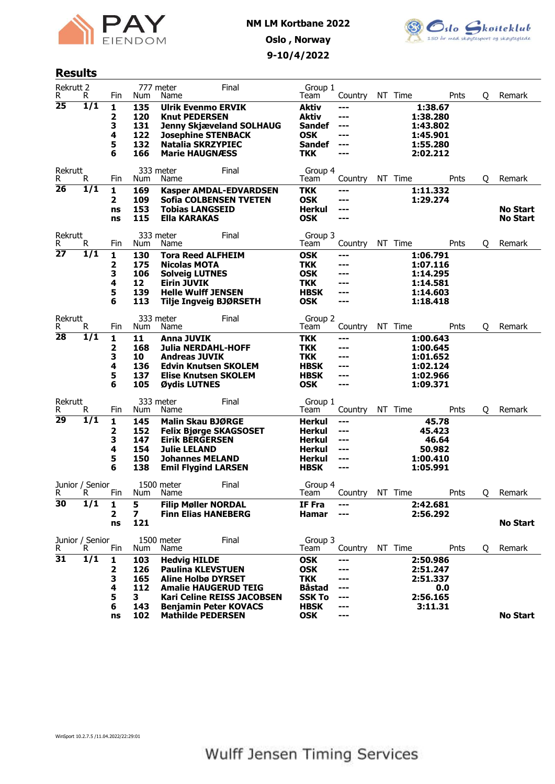



#### Results

|                      | <b>Rekrutt 2</b><br>R. | Fin            | Num                     | 777 meter<br>Name                                 | Final                                                             | Group 1<br>Team              | Country    | NT Time | Pnts                 | Q | Remark                             |
|----------------------|------------------------|----------------|-------------------------|---------------------------------------------------|-------------------------------------------------------------------|------------------------------|------------|---------|----------------------|---|------------------------------------|
| 25                   | 1/1                    | 1<br>2         | 135<br>120              | <b>Ulrik Evenmo ERVIK</b><br><b>Knut PEDERSEN</b> |                                                                   | <b>Aktiv</b><br>Aktiv        | ---<br>--- |         | 1:38.67<br>1:38.280  |   |                                    |
|                      |                        | 3              | 131                     |                                                   | <b>Jenny Skjæveland SOLHAUG</b>                                   | <b>Sandef</b>                | ---        |         | 1:43.802             |   |                                    |
|                      |                        | 4              | 122                     | <b>Josephine STENBACK</b>                         |                                                                   | <b>OSK</b>                   | ---        |         | 1:45.901             |   |                                    |
|                      |                        | 5              | 132                     | Natalia SKRZYPIEC                                 |                                                                   | <b>Sandef</b>                | ---        |         | 1:55.280             |   |                                    |
|                      |                        | 6              | 166                     | <b>Marie HAUGNÆSS</b>                             |                                                                   | <b>TKK</b>                   | ---        |         | 2:02.212             |   |                                    |
| Rekrutt<br>R         | R                      | Fin            | Num                     | 333 meter<br>Name                                 | Final                                                             | Group 4<br>Team              | Country    | NT Time | Pnts                 | Q | Remark                             |
| 26                   | 1/1                    | 1              | 169                     |                                                   | <b>Kasper AMDAL-EDVARDSEN</b>                                     | TKK                          | ---        |         | 1:11.332             |   |                                    |
|                      |                        | 2              | 109                     |                                                   | <b>Sofia COLBENSEN TVETEN</b>                                     | <b>OSK</b>                   | ---        |         | 1:29.274             |   |                                    |
|                      |                        | ns<br>ns       | 153<br>115              | <b>Tobias LANGSEID</b><br><b>Ella KARAKAS</b>     |                                                                   | Herkul<br><b>OSK</b>         | ---<br>--- |         |                      |   | <b>No Start</b><br><b>No Start</b> |
|                      |                        |                |                         |                                                   |                                                                   |                              |            |         |                      |   |                                    |
| Rekrutt              |                        |                |                         | 333 meter                                         | Final                                                             | Group 3                      |            |         |                      |   |                                    |
| R<br>$\overline{27}$ | R<br>1/1               | Fin            | Num                     | Name                                              |                                                                   | Team                         | Country    | NT Time | Pnts                 | Q | Remark                             |
|                      |                        | 1              | 130                     | <b>Tora Reed ALFHEIM</b>                          |                                                                   | <b>OSK</b>                   | ---<br>--- |         | 1:06.791             |   |                                    |
|                      |                        | 2<br>З         | 175<br>106              | <b>Nicolas MOTA</b><br><b>Solveig LUTNES</b>      |                                                                   | TKK<br><b>OSK</b>            | ---        |         | 1:07.116<br>1:14.295 |   |                                    |
|                      |                        | 4              | 12                      | <b>Eirin JUVIK</b>                                |                                                                   | <b>TKK</b>                   |            |         | 1:14.581             |   |                                    |
|                      |                        | 5              | 139                     | <b>Helle Wulff JENSEN</b>                         |                                                                   | <b>HBSK</b>                  | ---        |         | 1:14.603             |   |                                    |
|                      |                        | 6              | 113                     |                                                   | <b>Tilje Ingveig BJØRSETH</b>                                     | <b>OSK</b>                   | ---        |         | 1:18.418             |   |                                    |
|                      |                        |                |                         |                                                   |                                                                   |                              |            |         |                      |   |                                    |
| Rekrutt<br>R         | R                      | Fin            | Num                     | 333 meter<br>Name                                 | Final                                                             | Group 2<br>Team              | Country    | NT Time | Pnts                 | Q | Remark                             |
| 28                   | $\overline{1/1}$       | 1              | 11                      | Anna JUVIK                                        |                                                                   | <b>TKK</b>                   | ---        |         | 1:00.643             |   |                                    |
|                      |                        | 2              | 168                     | <b>Julia NERDAHL-HOFF</b>                         |                                                                   | <b>TKK</b>                   |            |         | 1:00.645             |   |                                    |
|                      |                        | 3              | 10                      | <b>Andreas JUVIK</b>                              |                                                                   | TKK                          | ---        |         | 1:01.652             |   |                                    |
|                      |                        |                |                         |                                                   |                                                                   |                              |            |         |                      |   |                                    |
|                      |                        | 4              | 136                     |                                                   | <b>Edvin Knutsen SKOLEM</b>                                       | <b>HBSK</b>                  | ---        |         | 1:02.124             |   |                                    |
|                      |                        | 5              | 137                     | <b>Elise Knutsen SKOLEM</b>                       |                                                                   | <b>HBSK</b>                  | ---        |         | 1:02.966             |   |                                    |
|                      |                        | 6              | 105                     | Øydis LUTNES                                      |                                                                   | <b>OSK</b>                   | ---        |         | 1:09.371             |   |                                    |
|                      |                        |                |                         |                                                   |                                                                   |                              |            |         |                      |   |                                    |
| Rekrutt<br>R         | R.                     | Fin            | Num                     | 333 meter<br>Name                                 | Final                                                             | Group 1<br>Team              | Country    | NT Time | Pnts                 |   | Remark                             |
| 29                   | $\overline{1/1}$       |                | 145                     |                                                   |                                                                   |                              | ---        |         |                      | Q |                                    |
|                      |                        | 1<br>2         | 152                     | Malin Skau BJØRGE                                 | <b>Felix Bjørge SKAGSOSET</b>                                     | Herkul<br><b>Herkul</b>      | ---        |         | 45.78<br>45.423      |   |                                    |
|                      |                        | 3              | 147                     | <b>Eirik BERGERSEN</b>                            |                                                                   | <b>Herkul</b>                | ---        |         | 46.64                |   |                                    |
|                      |                        | 4              | 154                     | <b>Julie LELAND</b>                               |                                                                   | Herkul                       | ---        |         | 50.982               |   |                                    |
|                      |                        | 5              | 150                     | <b>Johannes MELAND</b>                            |                                                                   | <b>Herkul</b>                | ---        |         | 1:00.410             |   |                                    |
|                      |                        | 6              | 138                     | <b>Emil Flygind LARSEN</b>                        |                                                                   | <b>HBSK</b>                  | ---        |         | 1:05.991             |   |                                    |
|                      |                        |                |                         | 1500 meter                                        | Final                                                             |                              |            |         |                      |   |                                    |
| R                    | Junior / Senior<br>R   | Fin            | Num                     | Name                                              |                                                                   | Group 4<br>Team              | Country    | NT Time | Pnts                 | 0 | Remark                             |
| $\overline{30}$      | $\overline{1/1}$       | 1              | 5                       | <b>Filip Møller NORDAL</b>                        |                                                                   | IF Fra                       | ---        |         | 2:42.681             |   |                                    |
|                      |                        | $\overline{2}$ | $\overline{\mathbf{z}}$ | <b>Finn Elias HANEBERG</b>                        |                                                                   | <b>Hamar</b>                 | ---        |         | 2:56.292             |   |                                    |
|                      |                        | ns             | 121                     |                                                   |                                                                   |                              |            |         |                      |   | <b>No Start</b>                    |
|                      |                        |                |                         |                                                   |                                                                   |                              |            |         |                      |   |                                    |
| R                    | Junior / Senior<br>R   | Fin            | Num                     | 1500 meter<br>Name                                | Final                                                             | Group 3<br>Team              | Country    | NT Time | Pnts                 | Q | Remark                             |
| $\overline{31}$      | $\overline{1/1}$       | 1              | 103                     | <b>Hedvig HILDE</b>                               |                                                                   | <b>OSK</b>                   | ---        |         | 2:50.986             |   |                                    |
|                      |                        | 2              | 126                     | <b>Paulina KLEVSTUEN</b>                          |                                                                   | <b>OSK</b>                   |            |         | 2:51.247             |   |                                    |
|                      |                        | 3              | 165                     | <b>Aline Holbø DYRSET</b>                         |                                                                   | <b>TKK</b>                   | ---        |         | 2:51.337             |   |                                    |
|                      |                        | 4              | 112                     |                                                   | <b>Amalie HAUGERUD TEIG</b>                                       | Båstad                       | ---        |         | 0.0                  |   |                                    |
|                      |                        | 5<br>6         | 3<br>143                |                                                   | <b>Kari Celine REISS JACOBSEN</b><br><b>Benjamin Peter KOVACS</b> | <b>SSK To</b><br><b>HBSK</b> | ---<br>--- |         | 2:56.165<br>3:11.31  |   |                                    |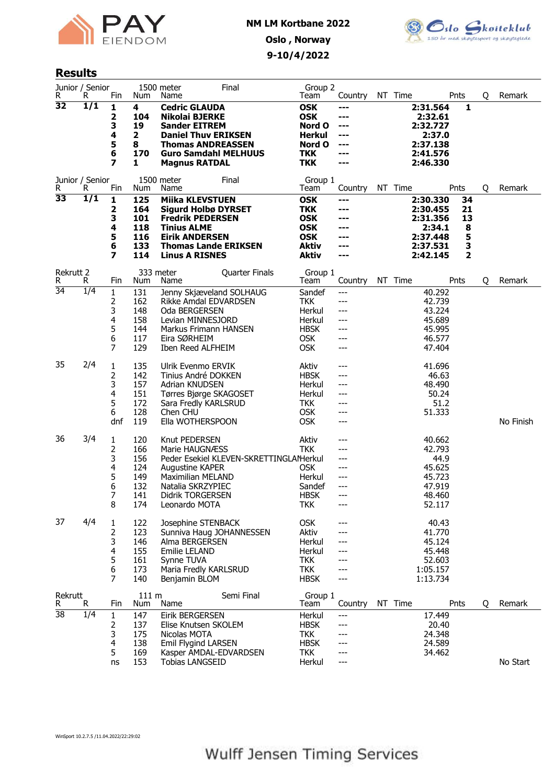



## Results

| R               | Junior / Senior<br>R. | Fin                                        | Num                                                  | 1500 meter<br>Name                                                                                                                                                                     | Final                                  | Group 2<br>Team                                                                                    | Country                                       | NT Time |                                                                                | Pnts                               | Q | Remark    |
|-----------------|-----------------------|--------------------------------------------|------------------------------------------------------|----------------------------------------------------------------------------------------------------------------------------------------------------------------------------------------|----------------------------------------|----------------------------------------------------------------------------------------------------|-----------------------------------------------|---------|--------------------------------------------------------------------------------|------------------------------------|---|-----------|
| $\overline{32}$ | 1/1                   | 1<br>2<br>3<br>4<br>5<br>6<br>7            | 4<br>104<br>19<br>$\mathbf{2}$<br>8<br>170<br>1      | <b>Cedric GLAUDA</b><br><b>Nikolai BJERKE</b><br><b>Sander EITREM</b><br><b>Daniel Thuv ERIKSEN</b><br><b>Thomas ANDREASSEN</b><br><b>Guro Samdahl MELHUUS</b><br><b>Magnus RATDAL</b> |                                        | <b>OSK</b><br><b>OSK</b><br>Nord O<br><b>Herkul</b><br>Nord O<br><b>TKK</b><br><b>TKK</b>          | ---<br>---<br>---<br>---<br>---<br>---<br>--- |         | 2:31.564<br>2:32.61<br>2:32.727<br>2:37.0<br>2:37.138<br>2:41.576<br>2:46.330  | 1                                  |   |           |
| R               | Junior / Senior<br>R. | Fin                                        | Num                                                  | 1500 meter<br>Name                                                                                                                                                                     | Final                                  | Group 1<br>Team                                                                                    | Country                                       | NT Time |                                                                                | Pnts                               | Q | Remark    |
| 33              | 1/1                   | 1<br>2<br>З<br>4<br>5<br>6<br>7            | 125<br>164<br>101<br>118<br>116<br>133<br>114        | <b>Miika KLEVSTUEN</b><br><b>Sigurd Holbø DYRSET</b><br><b>Fredrik PEDERSEN</b><br><b>Tinius ALME</b><br><b>Eirik ANDERSEN</b><br><b>Thomas Lande ERIKSEN</b><br><b>Linus A RISNES</b> |                                        | <b>OSK</b><br><b>TKK</b><br><b>OSK</b><br><b>OSK</b><br><b>OSK</b><br><b>Aktiv</b><br><b>Aktiv</b> | ---<br>---<br>---<br>---<br>---<br>---<br>--- |         | 2:30.330<br>2:30.455<br>2:31.356<br>2:34.1<br>2:37.448<br>2:37.531<br>2:42.145 | 34<br>21<br>13<br>8<br>5<br>3<br>2 |   |           |
| Rekrutt 2<br>R  | R.                    | Fin                                        | Num                                                  | 333 meter<br>Name                                                                                                                                                                      | Quarter Finals                         | Group 1<br>Team                                                                                    | Country                                       | NT Time |                                                                                | Pnts                               | Q | Remark    |
| $\overline{34}$ | 1/4                   | $\mathbf{1}$<br>2<br>3<br>4<br>5<br>6<br>7 | 131<br>162<br>148<br>158<br>144<br>117<br>129        | Jenny Skjæveland SOLHAUG<br>Rikke Amdal EDVARDSEN<br>Oda BERGERSEN<br>Levian MINNESJORD<br>Markus Frimann HANSEN<br>Eira SØRHEIM<br>Iben Reed ALFHEIM                                  |                                        | Sandef<br><b>TKK</b><br>Herkul<br>Herkul<br><b>HBSK</b><br><b>OSK</b><br><b>OSK</b>                | ---<br>---<br>---<br>---<br>---<br>---<br>--- |         | 40.292<br>42.739<br>43.224<br>45.689<br>45.995<br>46.577<br>47.404             |                                    |   |           |
| 35              | 2/4                   | 1<br>2<br>3<br>4<br>5<br>6<br>dnf          | 135<br>142<br>157<br>151<br>172<br>128<br>119        | Ulrik Evenmo ERVIK<br>Tinius André DOKKEN<br>Adrian KNUDSEN<br>Tørres Bjørge SKAGOSET<br>Sara Fredly KARLSRUD<br>Chen CHU<br>Ella WOTHERSPOON                                          |                                        | Aktiv<br><b>HBSK</b><br>Herkul<br>Herkul<br><b>TKK</b><br><b>OSK</b><br><b>OSK</b>                 | ---<br>---<br>---<br>---<br>---<br>---<br>--- |         | 41.696<br>46.63<br>48.490<br>50.24<br>51.2<br>51.333                           |                                    |   | No Finish |
| 36              | 3/4                   | 1<br>2<br>3<br>4<br>5<br>6<br>7<br>8       | 120<br>166<br>156<br>124<br>149<br>132<br>141<br>174 | Knut PEDERSEN<br>Marie HAUGNÆSS<br>Augustine KAPER<br><b>Maximilian MELAND</b><br>Natalia SKRZYPIEC<br>Didrik TORGERSEN<br>Leonardo MOTA                                               | Peder Esekiel KLEVEN-SKRETTINGLAMerkul | Aktiv<br>TKK<br><b>OSK</b><br>Herkul<br>Sandef<br><b>HBSK</b><br><b>TKK</b>                        | ---<br>---<br>---<br>---<br>---<br>---<br>--- |         | 40.662<br>42.793<br>44.9<br>45.625<br>45.723<br>47.919<br>48.460<br>52.117     |                                    |   |           |
| 37              | 4/4                   | 1<br>2<br>3<br>4<br>5<br>6<br>7            | 122<br>123<br>146<br>155<br>161<br>173<br>140        | Josephine STENBACK<br>Sunniva Haug JOHANNESSEN<br>Alma BERGERSEN<br>Emilie LELAND<br>Synne TUVA<br>Maria Fredly KARLSRUD<br>Benjamin BLOM                                              |                                        | <b>OSK</b><br>Aktiv<br>Herkul<br>Herkul<br><b>TKK</b><br><b>TKK</b><br><b>HBSK</b>                 | ---<br>---<br><br>---                         |         | 40.43<br>41.770<br>45.124<br>45.448<br>52.603<br>1:05.157<br>1:13.734          |                                    |   |           |
| Rekrutt<br>R    | R                     | Fin                                        | 111 m<br>Num                                         | Name                                                                                                                                                                                   | Semi Final                             | Group 1<br>Team                                                                                    | Country                                       | NT Time |                                                                                | Pnts                               | Q | Remark    |
| $\overline{38}$ | 1/4                   | $\mathbf{1}$<br>2<br>3<br>4<br>5<br>ns     | 147<br>137<br>175<br>138<br>169<br>153               | <b>Eirik BERGERSEN</b><br>Elise Knutsen SKOLEM<br>Nicolas MOTA<br>Emil Flygind LARSEN<br>Kasper AMDAL-EDVARDSEN<br><b>Tobias LANGSEID</b>                                              |                                        | Herkul<br><b>HBSK</b><br><b>TKK</b><br><b>HBSK</b><br>TKK<br>Herkul                                | ---<br>---<br>---<br>---<br>---<br>---        |         | 17.449<br>20.40<br>24.348<br>24.589<br>34.462                                  |                                    |   | No Start  |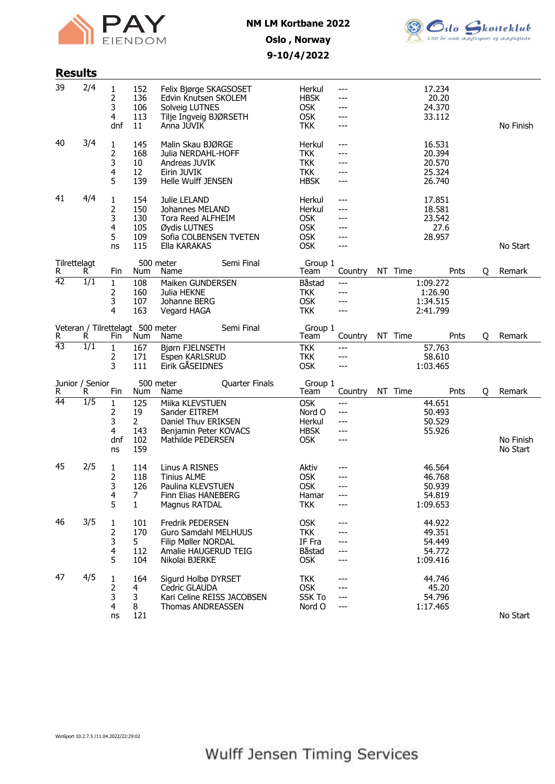



## Oslo , Norway 9-10/4/2022

| <b>Results</b>     |                                       |                                      |                                                  |                                                                                                                  |                |                                                                          |                                     |         |                                                  |      |   |                       |
|--------------------|---------------------------------------|--------------------------------------|--------------------------------------------------|------------------------------------------------------------------------------------------------------------------|----------------|--------------------------------------------------------------------------|-------------------------------------|---------|--------------------------------------------------|------|---|-----------------------|
| 39                 | 2/4                                   | 1<br>$\overline{2}$<br>3<br>4<br>dnf | 152<br>136<br>106<br>113<br>11                   | Felix Bjørge SKAGSOSET<br>Edvin Knutsen SKOLEM<br>Solveig LUTNES<br>Tilje Ingveig BJØRSETH<br>Anna JUVIK         |                | Herkul<br><b>HBSK</b><br><b>OSK</b><br><b>OSK</b><br><b>TKK</b>          | $---$<br>$---$<br>---<br>---        |         | 17.234<br>20.20<br>24.370<br>33.112              |      |   | No Finish             |
| 40                 | 3/4                                   | 1<br>2<br>3<br>4<br>5                | 145<br>168<br>10<br>12<br>139                    | Malin Skau BJØRGE<br>Julia NERDAHL-HOFF<br>Andreas JUVIK<br>Eirin JUVIK<br><b>Helle Wulff JENSEN</b>             |                | Herkul<br><b>TKK</b><br><b>TKK</b><br><b>TKK</b><br><b>HBSK</b>          | ---<br>---<br>---<br>---<br>---     |         | 16.531<br>20.394<br>20.570<br>25.324<br>26.740   |      |   |                       |
| 41                 | 4/4                                   | 1<br>2<br>3<br>4<br>5<br>ns          | 154<br>150<br>130<br>105<br>109<br>115           | Julie LELAND<br>Johannes MELAND<br>Tora Reed ALFHEIM<br>Øydis LUTNES<br>Sofia COLBENSEN TVETEN<br>Ella KARAKAS   |                | Herkul<br>Herkul<br><b>OSK</b><br><b>OSK</b><br><b>OSK</b><br><b>OSK</b> | ---<br>---<br>---<br>---<br>---     |         | 17.851<br>18.581<br>23.542<br>27.6<br>28.957     |      |   | No Start              |
| Tilrettelagt<br>R. | R.                                    | Fin                                  | Num                                              | 500 meter<br>Name                                                                                                | Semi Final     | Group 1<br>Team                                                          | Country                             | NT Time |                                                  | Pnts | 0 | Remark                |
| $\overline{42}$    | $\overline{1/1}$                      | $\mathbf{1}$<br>2<br>3<br>4          | 108<br>160<br>107<br>163                         | Maiken GUNDERSEN<br>Julia HEKNE<br>Johanne BERG<br>Vegard HAGA                                                   |                | Båstad<br><b>TKK</b><br><b>OSK</b><br><b>TKK</b>                         | ---<br>---<br>---<br>---            |         | 1:09.272<br>1:26.90<br>1:34.515<br>2:41.799      |      |   |                       |
| R                  | Veteran / Tilrettelagt 500 meter<br>R | Fin                                  | Num                                              | Name                                                                                                             | Semi Final     | Group 1<br>Team                                                          | Country                             | NT Time |                                                  | Pnts | Q | Remark                |
| $\overline{43}$    | $\overline{1/1}$                      | $\mathbf{1}$<br>2<br>3               | 167<br>171<br>111                                | Biørn FJELNSETH<br>Espen KARLSRUD<br>Eirik GÅSEIDNES                                                             |                | <b>TKK</b><br><b>TKK</b><br><b>OSK</b>                                   | ---<br>---<br>---                   |         | 57.763<br>58.610<br>1:03.465                     |      |   |                       |
| R                  | Junior / Senior<br>R                  | Fin                                  | Num                                              | 500 meter<br>Name                                                                                                | Quarter Finals | Group 1<br>Team                                                          | Country                             | NT Time |                                                  | Pnts | Q | Remark                |
| 44                 | $\overline{1/5}$                      | 1<br>2<br>3<br>4<br>dnf<br>ns        | 125<br>19<br>$\overline{2}$<br>143<br>102<br>159 | Miika KLEVSTUEN<br>Sander EITREM<br>Daniel Thuv ERIKSEN<br>Benjamin Peter KOVACS<br>Mathilde PEDERSEN            |                | <b>OSK</b><br>Nord O<br>Herkul<br><b>HBSK</b><br><b>OSK</b>              | $---$<br>$---$<br>---<br>---<br>--- |         | 44.651<br>50.493<br>50.529<br>55.926             |      |   | No Finish<br>No Start |
| 45                 | 2/5                                   | 1<br>2<br>3<br>4<br>5                | 114<br>118<br>126<br>7<br>1                      | Linus A RISNES<br><b>Tinius ALME</b><br>Paulina KLEVSTUEN<br>Finn Elias HANEBERG<br>Magnus RATDAL                |                | Aktiv<br><b>OSK</b><br>0SK<br>Hamar<br><b>TKK</b>                        | ---<br>$---$<br>---<br>---<br>---   |         | 46.564<br>46.768<br>50.939<br>54.819<br>1:09.653 |      |   |                       |
| 46                 | 3/5                                   | 1<br>2<br>3<br>4<br>5                | 101<br>170<br>5.<br>112<br>104                   | <b>Fredrik PEDERSEN</b><br>Guro Samdahl MELHUUS<br>Filip Møller NORDAL<br>Amalie HAUGERUD TEIG<br>Nikolai BJERKE |                | <b>OSK</b><br><b>TKK</b><br>IF Fra<br>Båstad<br><b>OSK</b>               | ---<br>---<br>---                   |         | 44.922<br>49.351<br>54.449<br>54.772<br>1:09.416 |      |   |                       |
| 47                 | 4/5                                   | 1<br>2<br>3<br>4<br>ns               | 164<br>4<br>3<br>8<br>121                        | Sigurd Holbø DYRSET<br>Cedric GLAUDA<br>Kari Celine REISS JACOBSEN<br>Thomas ANDREASSEN                          |                | <b>TKK</b><br><b>OSK</b><br><b>SSK To</b><br>Nord O                      | ---<br>---<br>---                   |         | 44.746<br>45.20<br>54.796<br>1:17.465            |      |   | No Start              |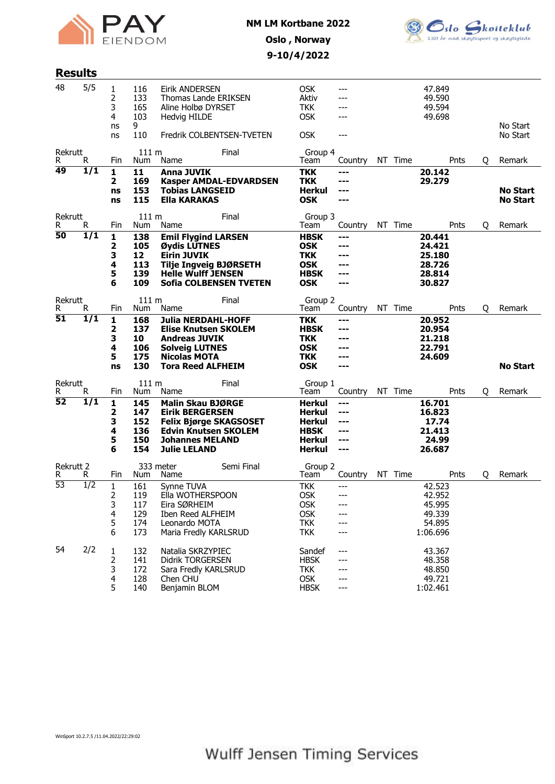



## Oslo , Norway 9-10/4/2022

| <b>Results</b>        |                  |                                   |                                               |                                                                                                                                                                             |            |                                                                                     |                                                   |    |         |                                                            |      |   |                                    |
|-----------------------|------------------|-----------------------------------|-----------------------------------------------|-----------------------------------------------------------------------------------------------------------------------------------------------------------------------------|------------|-------------------------------------------------------------------------------------|---------------------------------------------------|----|---------|------------------------------------------------------------|------|---|------------------------------------|
| 48                    | 5/5              | 1<br>2<br>3<br>4<br>ns<br>ns      | 116<br>133<br>165<br>103<br>9<br>110          | Eirik ANDERSEN<br>Thomas Lande ERIKSEN<br>Aline Holbø DYRSET<br>Hedvig HILDE<br>Fredrik COLBENTSEN-TVETEN                                                                   |            | <b>OSK</b><br>Aktiv<br><b>TKK</b><br><b>OSK</b><br><b>OSK</b>                       | ---<br>---<br>---<br>---                          |    |         | 47.849<br>49.590<br>49.594<br>49.698                       |      |   | No Start<br>No Start               |
| Rekrutt<br>R          | R                | Fin                               | 111 m<br>Num                                  | Name                                                                                                                                                                        | Final      | Group 4<br>Team                                                                     | Countrv                                           |    | NT Time |                                                            | Pnts | Q | Remark                             |
| 49                    | $\overline{1/1}$ | 1<br>$\overline{2}$<br>ns<br>ns   | 11<br>169<br>153<br>115                       | Anna JUVIK<br><b>Kasper AMDAL-EDVARDSEN</b><br>Tobias LANGSEID<br><b>Ella KARAKAS</b>                                                                                       |            | ткк<br><b>TKK</b><br>Herkul<br><b>OSK</b>                                           | ---<br>---<br>---<br>---                          |    |         | 20.142<br>29.279                                           |      |   | <b>No Start</b><br><b>No Start</b> |
| Rekrutt<br>R.         | R.               | Fin                               | 111 <sub>m</sub><br>Num                       | Name                                                                                                                                                                        | Final      | Group 3<br>Team                                                                     | Country                                           |    | NT Time |                                                            | Pnts | Q | Remark                             |
| 50                    | 1/1              | 1<br>2<br>3<br>4<br>5<br>6        | 138<br>105<br>12<br>113<br>139<br>109         | <b>Emil Flygind LARSEN</b><br>Øydis LUTNES<br>Eirin JUVIK<br><b>Tilje Ingveig BJØRSETH</b><br><b>Helle Wulff JENSEN</b><br><b>Sofia COLBENSEN TVETEN</b>                    |            | <b>HBSK</b><br><b>OSK</b><br>TKK<br><b>OSK</b><br><b>HBSK</b><br><b>OSK</b>         | ---<br>---<br>---<br>---<br>---<br>---            |    |         | 20.441<br>24.421<br>25.180<br>28.726<br>28.814<br>30.827   |      |   |                                    |
| Rekrutt<br>R.         | R.               | Fin                               | 111 m<br>Num                                  | Name                                                                                                                                                                        | Final      | Group 2<br>Team                                                                     | Country                                           |    | NT Time |                                                            | Pnts | Q | Remark                             |
| 51                    | 1/1              | 1<br>2<br>3<br>4<br>5<br>ns       | 168<br>137<br>10<br>106<br>175<br>130         | <b>Julia NERDAHL-HOFF</b><br><b>Elise Knutsen SKOLEM</b><br><b>Andreas JUVIK</b><br><b>Solveig LUTNES</b><br><b>Nicolas MOTA</b><br><b>Tora Reed ALFHEIM</b>                |            | <b>TKK</b><br><b>HBSK</b><br><b>TKK</b><br><b>OSK</b><br><b>TKK</b><br><b>OSK</b>   | ---<br>---<br>---<br>---<br>---<br>---            |    |         | 20.952<br>20.954<br>21.218<br>22.791<br>24.609             |      |   | <b>No Start</b>                    |
| Rekrutt               |                  |                                   | 111 m                                         |                                                                                                                                                                             | Final      | Group 1                                                                             |                                                   |    |         |                                                            |      |   |                                    |
| R.<br>52              | R.<br>1/1        | Fin<br>1<br>2<br>з<br>4<br>5<br>6 | Num<br>145<br>147<br>152<br>136<br>150<br>154 | Name<br><b>Malin Skau BJØRGE</b><br><b>Eirik BERGERSEN</b><br><b>Felix Bjørge SKAGSOSET</b><br><b>Edvin Knutsen SKOLEM</b><br><b>Johannes MELAND</b><br><b>Julie LELAND</b> |            | Team<br>Herkul<br>Herkul<br>Herkul<br><b>HBSK</b><br><b>Herkul</b><br><b>Herkul</b> | Country<br>---<br>---<br>---<br>---<br>---<br>--- | ΝT | Time    | 16.701<br>16.823<br>17.74<br>21.413<br>24.99<br>26.687     | Pnts | Q | Remark                             |
| <b>Rekrutt 2</b><br>R | R                | Fin                               | Num                                           | 333 meter<br>Name                                                                                                                                                           | Semi Final | Group 2<br>Team                                                                     | Country                                           |    | NT Time |                                                            | Pnts | Q | Remark                             |
| $\overline{53}$       | $\overline{1/2}$ | 1<br>2<br>3<br>4<br>5<br>6        | 161<br>119<br>117<br>129<br>174<br>173        | Synne TUVA<br>Ella WOTHERSPOON<br>Eira SØRHEIM<br>Iben Reed ALFHEIM<br>Leonardo MOTA<br>Maria Fredly KARLSRUD                                                               |            | TKK<br><b>OSK</b><br><b>OSK</b><br><b>OSK</b><br><b>TKK</b><br><b>TKK</b>           | ---                                               |    |         | 42.523<br>42.952<br>45.995<br>49.339<br>54.895<br>1:06.696 |      |   |                                    |
| 54                    | 2/2              | 1<br>2<br>3<br>4<br>5             | 132<br>141<br>172<br>128<br>140               | Natalia SKRZYPIEC<br><b>Didrik TORGERSEN</b><br>Sara Fredly KARLSRUD<br>Chen CHU<br>Benjamin BLOM                                                                           |            | Sandef<br><b>HBSK</b><br><b>TKK</b><br><b>OSK</b><br><b>HBSK</b>                    | ---<br>---<br>---                                 |    |         | 43.367<br>48.358<br>48.850<br>49.721<br>1:02.461           |      |   |                                    |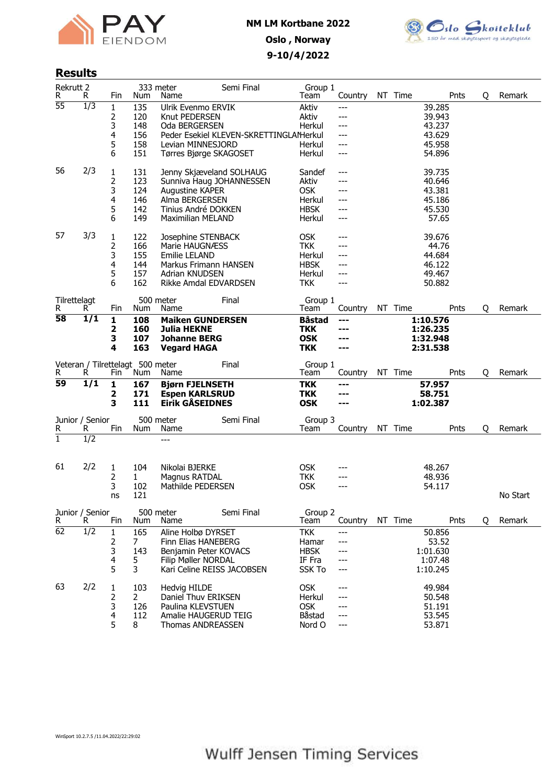



## Results

| <b>Rekrutt 2</b><br>R | R                    | Fin                         | Num                                     | 333 meter<br>Name                                                                                                                            | Semi Final                             | Group 1<br>Team                                                           | Country                                    | NT Time | Pnts                                                    | Q | Remark   |
|-----------------------|----------------------|-----------------------------|-----------------------------------------|----------------------------------------------------------------------------------------------------------------------------------------------|----------------------------------------|---------------------------------------------------------------------------|--------------------------------------------|---------|---------------------------------------------------------|---|----------|
| $\overline{55}$       | $\overline{1/3}$     | 1<br>2<br>3                 | 135<br>120<br>148                       | Ulrik Evenmo ERVIK<br>Knut PEDERSEN<br>Oda BERGERSEN                                                                                         |                                        | Aktiv<br>Aktiv<br>Herkul                                                  | ---<br>---<br>---                          |         | 39.285<br>39.943<br>43.237                              |   |          |
|                       |                      | 4<br>5<br>6                 | 156<br>158<br>151                       | Levian MINNESJORD<br>Tørres Bjørge SKAGOSET                                                                                                  | Peder Esekiel KLEVEN-SKRETTINGLAMerkul | Herkul<br>Herkul                                                          | ---<br>$---$<br>$---$                      |         | 43.629<br>45.958<br>54.896                              |   |          |
| 56                    | 2/3                  | 1<br>2<br>3<br>4<br>5<br>6  | 131<br>123<br>124<br>146<br>142<br>149  | Jenny Skjæveland SOLHAUG<br>Sunniva Haug JOHANNESSEN<br>Augustine KAPER<br>Alma BERGERSEN<br>Tinius André DOKKEN<br><b>Maximilian MELAND</b> |                                        | Sandef<br>Aktiv<br><b>OSK</b><br>Herkul<br><b>HBSK</b><br>Herkul          | $---$<br>---<br>---<br>---<br>---<br>$---$ |         | 39.735<br>40.646<br>43.381<br>45.186<br>45.530<br>57.65 |   |          |
| 57                    | 3/3                  | 1<br>2<br>3<br>4<br>5<br>6  | 122<br>166<br>155<br>144<br>157<br>162  | Josephine STENBACK<br>Marie HAUGNÆSS<br>Emilie LELAND<br>Markus Frimann HANSEN<br>Adrian KNUDSEN<br>Rikke Amdal EDVARDSEN                    |                                        | <b>OSK</b><br><b>TKK</b><br>Herkul<br><b>HBSK</b><br>Herkul<br><b>TKK</b> | ---<br>$---$<br>---<br>---<br>$---$<br>--- |         | 39.676<br>44.76<br>44.684<br>46.122<br>49.467<br>50.882 |   |          |
| Tilrettelagt<br>R     | R.                   | Fin                         | Num                                     | 500 meter<br>Name                                                                                                                            | Final                                  | Group 1<br>Team                                                           | Country                                    | NT Time | Pnts                                                    | Q | Remark   |
| 58                    | 1/1                  | $\mathbf{1}$<br>2<br>3<br>4 | 108<br>160<br>107<br>163                | <b>Maiken GUNDERSEN</b><br><b>Julia HEKNE</b><br><b>Johanne BERG</b><br><b>Vegard HAGA</b>                                                   |                                        | <b>Båstad</b><br><b>TKK</b><br><b>OSK</b><br><b>TKK</b>                   | ---<br>---<br>---<br>---                   |         | 1:10.576<br>1:26.235<br>1:32.948<br>2:31.538            |   |          |
|                       |                      |                             |                                         |                                                                                                                                              |                                        |                                                                           |                                            |         |                                                         |   |          |
| R.                    | R                    | Fin                         | Veteran / Tilrettelagt 500 meter<br>Num | Name                                                                                                                                         | Final                                  | Group 1<br>Team                                                           | Country                                    | NT Time | Pnts                                                    | Q | Remark   |
| 59                    | 1/1                  | 1<br>2<br>3                 | 167<br>171<br>111                       | <b>Bjørn FJELNSETH</b><br><b>Espen KARLSRUD</b><br><b>Eirik GÅSEIDNES</b>                                                                    |                                        | <b>TKK</b><br><b>TKK</b><br><b>OSK</b>                                    | ---<br>---<br>---                          |         | 57.957<br>58.751<br>1:02.387                            |   |          |
| R                     | Junior / Senior<br>R | Fin                         | Num                                     | 500 meter<br>Name                                                                                                                            | Semi Final                             | Group 3<br>Team                                                           | Country                                    | NT Time | Pnts                                                    | Q | Remark   |
| $\mathbf{1}$          | $\overline{1/2}$     |                             |                                         | ---                                                                                                                                          |                                        |                                                                           |                                            |         |                                                         |   |          |
| 61                    | 2/2                  | 1<br>2<br>3<br>ns           | 104<br>$\mathbf{1}$<br>102<br>121       | Nikolai BJERKE<br>Magnus RATDAL<br>Mathilde PEDERSEN                                                                                         |                                        | <b>OSK</b><br><b>TKK</b><br><b>OSK</b>                                    | ---<br>---<br>$---$                        |         | 48.267<br>48.936<br>54.117                              |   | No Start |
| R                     | Junior / Senior<br>R | Fin                         | Num                                     | 500 meter<br>Name                                                                                                                            | Semi Final                             | Group 2<br>Team                                                           | Country                                    | NT Time | Pnts                                                    | Q | Remark   |
| 62                    | 1/2                  | 1<br>2<br>3<br>4<br>5       | 165<br>7<br>143<br>5<br>3               | Aline Holbø DYRSET<br>Finn Elias HANEBERG<br>Benjamin Peter KOVACS<br>Filip Møller NORDAL<br>Kari Celine REISS JACOBSEN                      |                                        | <b>TKK</b><br>Hamar<br><b>HBSK</b><br>IF Fra<br>SSK To                    | ---<br>---<br>---<br>---<br>---            |         | 50.856<br>53.52<br>1:01.630<br>1:07.48<br>1:10.245      |   |          |

WinSport 10.2.7.5 /11.04.2022/22:29:02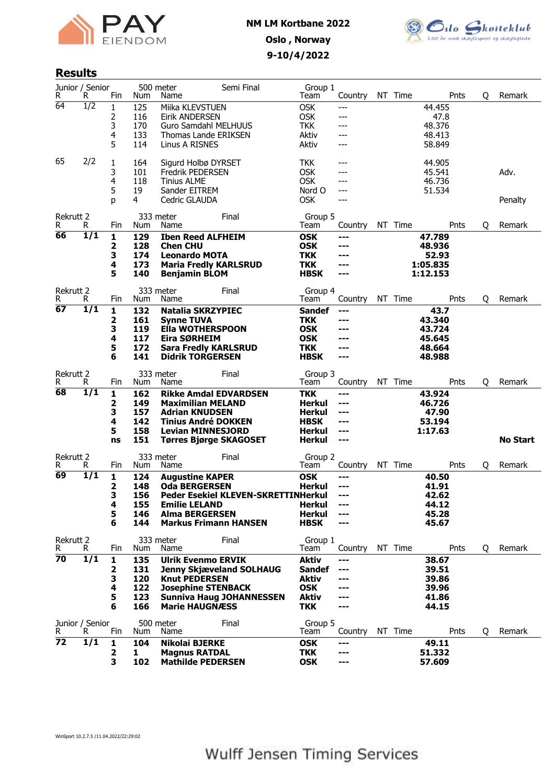



#### Results

| R                     | Junior / Senior<br>R  | Fin    | Num        | 500 meter<br>Name                             | Semi Final                                 | Group 1<br>Team                | Country    | NT Time | Pnts             | Q | Remark          |
|-----------------------|-----------------------|--------|------------|-----------------------------------------------|--------------------------------------------|--------------------------------|------------|---------|------------------|---|-----------------|
| 64                    | $\overline{1/2}$      | 1      | 125        | Miika KLEVSTUEN                               |                                            | <b>OSK</b>                     | ---        |         | 44.455           |   |                 |
|                       |                       | 2      | 116        | Eirik ANDERSEN                                |                                            | <b>OSK</b>                     | ---        |         | 47.8             |   |                 |
|                       |                       | 3      | 170        | Guro Samdahl MELHUUS                          |                                            | <b>TKK</b>                     | ---        |         | 48.376           |   |                 |
|                       |                       | 4      | 133        | Thomas Lande ERIKSEN                          |                                            | Aktiv                          | ---        |         | 48.413           |   |                 |
|                       |                       | 5      | 114        | Linus A RISNES                                |                                            | Aktiv                          | ---        |         | 58.849           |   |                 |
|                       |                       |        |            |                                               |                                            |                                |            |         |                  |   |                 |
| 65                    | 2/2                   | 1      | 164        | Sigurd Holbø DYRSET                           |                                            | <b>TKK</b>                     | ---        |         | 44.905           |   |                 |
|                       |                       | 3<br>4 | 101<br>118 | <b>Fredrik PEDERSEN</b><br><b>Tinius ALME</b> |                                            | <b>OSK</b><br><b>OSK</b>       | ---<br>--- |         | 45.541<br>46.736 |   | Adv.            |
|                       |                       | 5      | 19         | Sander EITREM                                 |                                            | Nord O                         | ---        |         | 51.534           |   |                 |
|                       |                       | D      | 4          | Cedric GLAUDA                                 |                                            | <b>OSK</b>                     | ---        |         |                  |   | Penalty         |
|                       |                       |        |            |                                               |                                            |                                |            |         |                  |   |                 |
| Rekrutt 2<br>R        |                       |        |            | 333 meter                                     | Final                                      | Group 5                        |            | NT Time | Pnts             |   | Remark          |
| 66                    | R.<br>1/1             | Fin    | Num        | Name                                          |                                            | Team                           | Country    |         |                  | Q |                 |
|                       |                       | 1<br>2 | 129<br>128 | <b>Iben Reed ALFHEIM</b><br><b>Chen CHU</b>   |                                            | <b>OSK</b><br><b>OSK</b>       | ---<br>--- |         | 47.789<br>48.936 |   |                 |
|                       |                       | 3      | 174        | <b>Leonardo MOTA</b>                          |                                            | <b>TKK</b>                     |            |         | 52.93            |   |                 |
|                       |                       | 4      | 173        | <b>Maria Fredly KARLSRUD</b>                  |                                            | <b>TKK</b>                     | ---        |         | 1:05.835         |   |                 |
|                       |                       | 5      | 140        | <b>Benjamin BLOM</b>                          |                                            | <b>HBSK</b>                    | ---        |         | 1:12.153         |   |                 |
|                       |                       |        |            |                                               |                                            |                                |            |         |                  |   |                 |
| <b>Rekrutt 2</b><br>R | R.                    | Fin    | Num        | 333 meter<br>Name                             | Final                                      | Group 4<br>Team                | Country    | NT Time | Pnts             | Q | Remark          |
| 67                    | 1/1                   | 1      | 132        | <b>Natalia SKRZYPIEC</b>                      |                                            | <b>Sandef</b>                  |            |         | 43.7             |   |                 |
|                       |                       | 2      | 161        | <b>Synne TUVA</b>                             |                                            | <b>TKK</b>                     | ---<br>--- |         | 43.340           |   |                 |
|                       |                       | З      | 119        | <b>Ella WOTHERSPOON</b>                       |                                            | <b>OSK</b>                     |            |         | 43.724           |   |                 |
|                       |                       | 4      | 117        | Eira SØRHEIM                                  |                                            | <b>OSK</b>                     | ---        |         | 45.645           |   |                 |
|                       |                       | 5      | 172        | <b>Sara Fredly KARLSRUD</b>                   |                                            | <b>TKK</b>                     | ---        |         | 48.664           |   |                 |
|                       |                       | 6      | 141        | <b>Didrik TORGERSEN</b>                       |                                            | <b>HBSK</b>                    | ---        |         | 48.988           |   |                 |
| Rekrutt 2             |                       |        |            | 333 meter                                     | Final                                      | Group 3                        |            |         |                  |   |                 |
| R                     | R                     | Fin    | Num        | Name                                          |                                            | Team                           | Country    | NT Time | Pnts             | Q | Remark          |
| 68                    | 1/1                   | 1      | 162        |                                               | <b>Rikke Amdal EDVARDSEN</b>               | <b>TKK</b>                     | ---        |         | 43.924           |   |                 |
|                       |                       | 2      | 149        | <b>Maximilian MELAND</b>                      |                                            | Herkul                         | ---        |         | 46.726           |   |                 |
|                       |                       | 3      | 157        | <b>Adrian KNUDSEN</b>                         |                                            | Herkul                         | ---        |         | 47.90            |   |                 |
|                       |                       | 4      | 142        | <b>Tinius André DOKKEN</b>                    |                                            | <b>HBSK</b>                    | ---        |         | 53.194           |   |                 |
|                       |                       | 5      | 158<br>151 | <b>Levian MINNESJORD</b>                      |                                            | Herkul                         | ---<br>--- |         | 1:17.63          |   | <b>No Start</b> |
|                       |                       | ns     |            |                                               | <b>Tørres Bjørge SKAGOSET</b>              | <b>Herkul</b>                  |            |         |                  |   |                 |
| Rekrutt 2             |                       |        |            | 333 meter                                     | Final                                      | Group 2                        |            |         |                  |   |                 |
| R                     | R.                    | Fin    | Num        | Name                                          |                                            | Team                           | Country    | NT Time | Pnts             | Q | Remark          |
| 69                    | 1/1                   | 1      | 124        | <b>Augustine KAPER</b>                        |                                            | <b>OSK</b>                     | ---        |         | 40.50            |   |                 |
|                       |                       | 2      | 148        | <b>Oda BERGERSEN</b>                          |                                            | <b>Herkul</b>                  | ---        |         | 41.91            |   |                 |
|                       |                       | 3      | 156        |                                               | <b>Peder Esekiel KLEVEN-SKRETTINHerkul</b> |                                | ---        |         | 42.62            |   |                 |
|                       |                       | 4<br>5 | 155<br>146 | <b>Emilie LELAND</b><br><b>Alma BERGERSEN</b> |                                            | <b>Herkul</b><br><b>Herkul</b> | ---        |         | 44.12<br>45.28   |   |                 |
|                       |                       | 6      | 144        |                                               | <b>Markus Frimann HANSEN</b>               | <b>HBSK</b>                    | ---        |         | 45.67            |   |                 |
|                       |                       |        |            |                                               |                                            |                                |            |         |                  |   |                 |
| Rekrutt 2             |                       |        |            | 333 meter                                     | Final                                      | Group 1                        |            |         |                  |   |                 |
| R                     | R.                    | Fin    | Num        | Name                                          |                                            | Team                           | Country    | NT Time | Pnts             | 0 | Remark          |
| 70                    | $\overline{1/1}$      | 1      | 135        | <b>Ulrik Evenmo ERVIK</b>                     |                                            | <b>Aktiv</b>                   | ---        |         | 38.67            |   |                 |
|                       |                       | 2<br>з | 131<br>120 | <b>Knut PEDERSEN</b>                          | <b>Jenny Skjæveland SOLHAUG</b>            | <b>Sandef</b><br><b>Aktiv</b>  | ---<br>--- |         | 39.51<br>39.86   |   |                 |
|                       |                       | 4      | 122        | <b>Josephine STENBACK</b>                     |                                            | <b>OSK</b>                     | ---        |         | 39.96            |   |                 |
|                       |                       | 5      | 123        |                                               | <b>Sunniva Haug JOHANNESSEN</b>            | <b>Aktiv</b>                   | ---        |         | 41.86            |   |                 |
|                       |                       | 6      | 166        | <b>Marie HAUGNÆSS</b>                         |                                            | <b>TKK</b>                     |            |         | 44.15            |   |                 |
|                       |                       |        |            |                                               |                                            |                                |            |         |                  |   |                 |
| R                     | Junior / Senior<br>R. | Fin    | Num        | 500 meter<br>Name                             | Final                                      | Group 5<br>Team                | Country    | NT Time | Pnts             | Q | Remark          |
| 72                    | $\overline{1/1}$      | 1      | 104        | Nikolai BJERKE                                |                                            | <b>OSK</b>                     | ---        |         | 49.11            |   |                 |
|                       |                       | 2      | 1          | <b>Magnus RATDAL</b>                          |                                            | <b>TKK</b>                     | ---        |         | 51,332           |   |                 |
|                       |                       | з      | 102        | <b>Mathilde PEDERSEN</b>                      |                                            | <b>OSK</b>                     | ---        |         | 57.609           |   |                 |
|                       |                       |        |            |                                               |                                            |                                |            |         |                  |   |                 |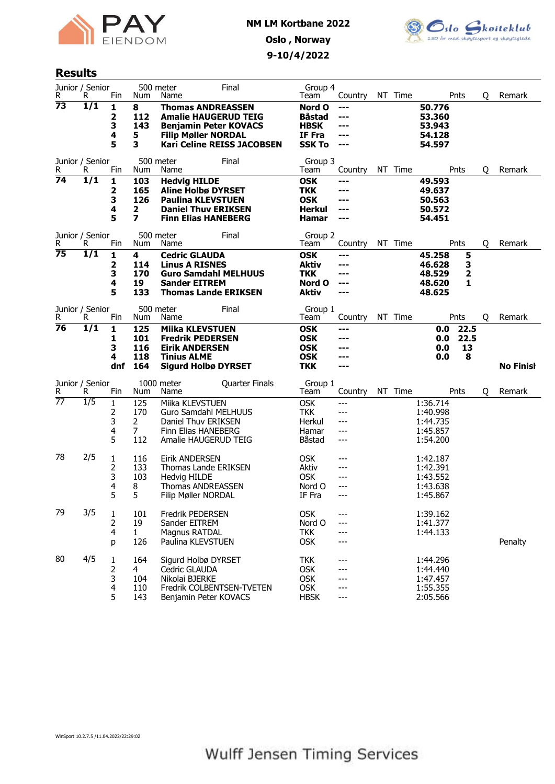



#### Results

| R               | Junior / Senior<br>R   | Fin                          | 500 meter<br>Num                                               | Name                                                                                                                                        | Final                             | Group 4<br>Team                                                             | Country                                    | NT Time |                                                          | Pnts                     | Q | Remark           |
|-----------------|------------------------|------------------------------|----------------------------------------------------------------|---------------------------------------------------------------------------------------------------------------------------------------------|-----------------------------------|-----------------------------------------------------------------------------|--------------------------------------------|---------|----------------------------------------------------------|--------------------------|---|------------------|
| 73              | 1/1                    | 1<br>2<br>3<br>4<br>5        | 8<br>112<br>143<br>5<br>3                                      | <b>Thomas ANDREASSEN</b><br><b>Amalie HAUGERUD TEIG</b><br><b>Benjamin Peter KOVACS</b><br><b>Filip Møller NORDAL</b>                       | <b>Kari Celine REISS JACOBSEN</b> | Nord O<br>Båstad<br><b>HBSK</b><br>IF Fra<br><b>SSK To</b>                  | ---<br>---<br>---<br>---<br>$---$          |         | 50.776<br>53.360<br>53.943<br>54.128<br>54.597           |                          |   |                  |
| R               | Junior / Senior<br>R   | Fin                          | 500 meter<br>Num                                               | Name                                                                                                                                        | Final                             | Group 3<br>Team                                                             | Country                                    | NT Time |                                                          | Pnts                     | Q | Remark           |
| 74              | 1/1<br>Junior / Senior | 1<br>2<br>3<br>4<br>5        | 103<br>165<br>126<br>2<br>$\overline{\mathbf{z}}$<br>500 meter | <b>Hedvig HILDE</b><br><b>Aline Holbø DYRSET</b><br><b>Paulina KLEVSTUEN</b><br><b>Daniel Thuv ERIKSEN</b><br><b>Finn Elias HANEBERG</b>    | Final                             | <b>OSK</b><br><b>TKK</b><br><b>OSK</b><br><b>Herkul</b><br>Hamar<br>Group 2 | ---<br>---<br>---<br>---<br>---            |         | 49.593<br>49.637<br>50.563<br>50.572<br>54.451           |                          |   |                  |
| R<br>75         | R<br>1/1               | Fin<br>1<br>2<br>3<br>4<br>5 | Num<br>4<br>114<br>170<br>19<br>133                            | Name<br><b>Cedric GLAUDA</b><br><b>Linus A RISNES</b><br><b>Guro Samdahl MELHUUS</b><br><b>Sander EITREM</b><br><b>Thomas Lande ERIKSEN</b> |                                   | Team<br><b>OSK</b><br><b>Aktiv</b><br><b>TKK</b><br>Nord O<br><b>Aktiv</b>  | Country<br>---<br>---<br>---<br>---<br>--- | NT Time | 45.258<br>46.628<br>48.529<br>48.620<br>48.625           | Pnts<br>5<br>3<br>2<br>1 | Q | Remark           |
| R               | Junior / Senior<br>R.  | Fin                          | 500 meter<br>Num                                               | Name                                                                                                                                        | Final                             | Group 1<br>Team                                                             | Country                                    | NT Time |                                                          | Pnts                     | Q | Remark           |
| 76              | 1/1                    | 1<br>1<br>3<br>4<br>dnf      | 125<br>101<br>116<br>118<br>164                                | <b>Miika KLEVSTUEN</b><br><b>Fredrik PEDERSEN</b><br><b>Eirik ANDERSEN</b><br><b>Tinius ALME</b><br><b>Sigurd Holbø DYRSET</b>              |                                   | <b>OSK</b><br><b>OSK</b><br><b>OSK</b><br><b>OSK</b><br><b>TKK</b>          | ---<br>---<br>---<br>---                   |         | 0.0<br>0.0<br>0.0<br>0.0                                 | 22.5<br>22.5<br>13<br>8  |   | <b>No Finish</b> |
| R               | Junior / Senior<br>R.  | Fin                          | Num                                                            | 1000 meter<br>Name                                                                                                                          | Quarter Finals                    | Group 1<br>Team                                                             | Country                                    | NT Time |                                                          | Pnts                     | Q | Remark           |
| $\overline{77}$ | $\overline{1/5}$       | 1<br>2<br>3<br>4<br>5        | 125<br>170<br>2<br>$\overline{7}$<br>112                       | Miika KLEVSTUEN<br><b>Guro Samdahl MELHUUS</b><br>Daniel Thuv ERIKSEN<br>Finn Elias HANEBERG<br>Amalie HAUGERUD TEIG                        |                                   | <b>OSK</b><br>TKK.<br>Herkul<br>Hamar<br>Båstad                             | ---<br>$---$<br>---<br>---<br>$---$        |         | 1:36.714<br>1:40.998<br>1:44.735<br>1:45.857<br>1:54.200 |                          |   |                  |
| 78              | 2/5                    | 1<br>2<br>3<br>4<br>5        | 116<br>133<br>103<br>8<br>5                                    | Eirik ANDERSEN<br><b>Thomas Lande ERIKSEN</b><br>Hedvig HILDE<br><b>Thomas ANDREASSEN</b><br>Filip Møller NORDAL                            |                                   | <b>OSK</b><br>Aktiv<br><b>OSK</b><br>Nord O<br>IF Fra                       | ---<br>---<br>---<br>---<br>---            |         | 1:42.187<br>1:42.391<br>1:43.552<br>1:43.638<br>1:45.867 |                          |   |                  |
| 79              | 3/5                    | 1<br>2<br>4<br>р             | 101<br>19<br>$\mathbf{1}$<br>126                               | Fredrik PEDERSEN<br>Sander EITREM<br>Magnus RATDAL<br>Paulina KLEVSTUEN                                                                     |                                   | <b>OSK</b><br>Nord O<br><b>TKK</b><br><b>OSK</b>                            | ---<br>---<br>---                          |         | 1:39.162<br>1:41.377<br>1:44.133                         |                          |   | Penalty          |
| 80              | 4/5                    | 1<br>2<br>3<br>4<br>5        | 164<br>4<br>104<br>110<br>143                                  | Sigurd Holbø DYRSET<br>Cedric GLAUDA<br>Nikolai BJERKE<br>Fredrik COLBENTSEN-TVETEN<br>Benjamin Peter KOVACS                                |                                   | <b>TKK</b><br><b>OSK</b><br><b>OSK</b><br><b>OSK</b><br><b>HBSK</b>         | ---<br>---<br>---                          |         | 1:44.296<br>1:44.440<br>1:47.457<br>1:55.355<br>2:05.566 |                          |   |                  |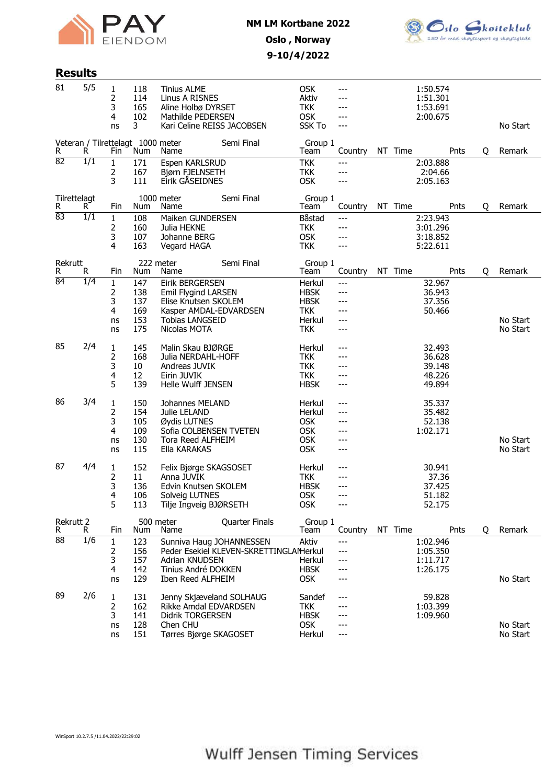



## Oslo , Norway 9-10/4/2022

## Results

| 81                | 5/5              | 1<br>2<br>3<br>4<br>ns                  | 118<br>114<br>165<br>102<br>3            | <b>Tinius ALME</b><br>Linus A RISNES<br>Aline Holbø DYRSET<br>Mathilde PEDERSEN<br>Kari Celine REISS JACOBSEN                             |                                        | <b>OSK</b><br>Aktiv<br><b>TKK</b><br><b>OSK</b><br><b>SSK To</b>           | ---<br>---<br>---<br>---               |         | 1:50.574<br>1:51.301<br>1:53.691<br>2:00.675   |   | No Start             |
|-------------------|------------------|-----------------------------------------|------------------------------------------|-------------------------------------------------------------------------------------------------------------------------------------------|----------------------------------------|----------------------------------------------------------------------------|----------------------------------------|---------|------------------------------------------------|---|----------------------|
| R                 | R.               | Fin                                     | Veteran / Tilrettelagt 1000 meter<br>Num | Name                                                                                                                                      | Semi Final                             | Group 1<br>Team                                                            | Country                                | NT Time | Pnts                                           | Q | Remark               |
| $\overline{82}$   | $\overline{1/1}$ | $\mathbf{1}$<br>2<br>3                  | 171<br>167<br>111                        | Espen KARLSRUD<br>Bjørn FJELNSETH<br>Eirik GÅSEIDNES                                                                                      |                                        | <b>TKK</b><br><b>TKK</b><br><b>OSK</b>                                     | ---<br>---<br>---                      |         | 2:03.888<br>2:04.66<br>2:05.163                |   |                      |
| Tilrettelagt<br>R | R.               | Fin                                     | Num                                      | 1000 meter<br>Name                                                                                                                        | Semi Final                             | Group 1<br>Team                                                            | Country                                | NT Time | Pnts                                           | Q | Remark               |
| 83                | 1/1              | $\mathbf{1}$<br>2<br>3<br>4             | 108<br>160<br>107<br>163                 | Maiken GUNDERSEN<br>Julia HEKNE<br>Johanne BERG<br>Vegard HAGA                                                                            |                                        | Båstad<br><b>TKK</b><br><b>OSK</b><br><b>TKK</b>                           | $---$<br>---<br>---<br>---             |         | 2:23.943<br>3:01.296<br>3:18.852<br>5:22.611   |   |                      |
| Rekrutt<br>R      | R.               | Fin                                     | Num                                      | 222 meter<br>Name                                                                                                                         | Semi Final                             | Group 1<br>Team                                                            | Country                                | NT Time | Pnts                                           | Q | Remark               |
| 84                | 1/4              | $\mathbf{1}$<br>2<br>3<br>4<br>ns<br>ns | 147<br>138<br>137<br>169<br>153<br>175   | <b>Eirik BERGERSEN</b><br>Emil Flygind LARSEN<br>Elise Knutsen SKOLEM<br>Kasper AMDAL-EDVARDSEN<br><b>Tobias LANGSEID</b><br>Nicolas MOTA |                                        | Herkul<br><b>HBSK</b><br><b>HBSK</b><br><b>TKK</b><br>Herkul<br><b>TKK</b> | ---<br>---<br>---<br>---<br>---<br>--- |         | 32.967<br>36.943<br>37.356<br>50.466           |   | No Start<br>No Start |
| 85                | 2/4              | 1<br>2<br>3<br>4<br>5                   | 145<br>168<br>10<br>12<br>139            | Malin Skau BJØRGE<br>Julia NERDAHL-HOFF<br>Andreas JUVIK<br>Eirin JUVIK<br>Helle Wulff JENSEN                                             |                                        | Herkul<br><b>TKK</b><br><b>TKK</b><br><b>TKK</b><br><b>HBSK</b>            | ---<br>---<br>---<br>---<br>---        |         | 32.493<br>36.628<br>39.148<br>48.226<br>49.894 |   |                      |
| 86                | 3/4              | 1<br>2<br>3<br>4<br>ns<br>ns            | 150<br>154<br>105<br>109<br>130<br>115   | Johannes MELAND<br>Julie LELAND<br>Øydis LUTNES<br>Sofia COLBENSEN TVETEN<br><b>Tora Reed ALFHEIM</b><br>Ella KARAKAS                     |                                        | Herkul<br>Herkul<br><b>OSK</b><br><b>OSK</b><br><b>OSK</b><br><b>OSK</b>   | ---<br>---<br>---<br>---<br>---<br>--- |         | 35.337<br>35.482<br>52.138<br>1:02.171         |   | No Start<br>No Start |
| 87                | 4/4              | 1<br>2<br>3<br>4<br>5                   | 152<br>11<br>136<br>106<br>113           | Felix Bjørge SKAGSOSET<br>Anna JUVIK<br>Edvin Knutsen SKOLEM<br>Solveig LUTNES<br>Tilje Ingveig BJØRSETH                                  |                                        | Herkul<br><b>TKK</b><br><b>HBSK</b><br><b>OSK</b><br><b>OSK</b>            | ---<br>---<br>---<br>---               |         | 30.941<br>37.36<br>37.425<br>51.182<br>52.175  |   |                      |
| Rekrutt 2<br>R.   | R.               | Fin                                     | Num                                      | 500 meter<br>Name                                                                                                                         | <b>Quarter Finals</b>                  | Group 1<br>Team                                                            | Country                                | NT Time | Pnts                                           | Q | Remark               |
| 88                | $\overline{1/6}$ | $\mathbf{1}$<br>2<br>3<br>4<br>ns       | 123<br>156<br>157<br>142<br>129          | Sunniva Haug JOHANNESSEN<br>Adrian KNUDSEN<br>Tinius André DOKKEN<br>Iben Reed ALFHEIM                                                    | Peder Esekiel KLEVEN-SKRETTINGLAMerkul | Aktiv<br>Herkul<br><b>HBSK</b><br><b>OSK</b>                               | ---<br>---<br>---<br>---               |         | 1:02.946<br>1:05.350<br>1:11.717<br>1:26.175   |   | No Start             |
| 89                | 2/6              | 1<br>2<br>3<br>ns<br>ns                 | 131<br>162<br>141<br>128<br>151          | Jenny Skjæveland SOLHAUG<br>Rikke Amdal EDVARDSEN<br><b>Didrik TORGERSEN</b><br>Chen CHU<br>Tørres Bjørge SKAGOSET                        |                                        | Sandef<br>TKK<br><b>HBSK</b><br><b>OSK</b><br>Herkul                       | ---<br>---<br>---<br>---               |         | 59.828<br>1:03.399<br>1:09.960                 |   | No Start<br>No Start |

WinSport 10.2.7.5 /11.04.2022/22:29:02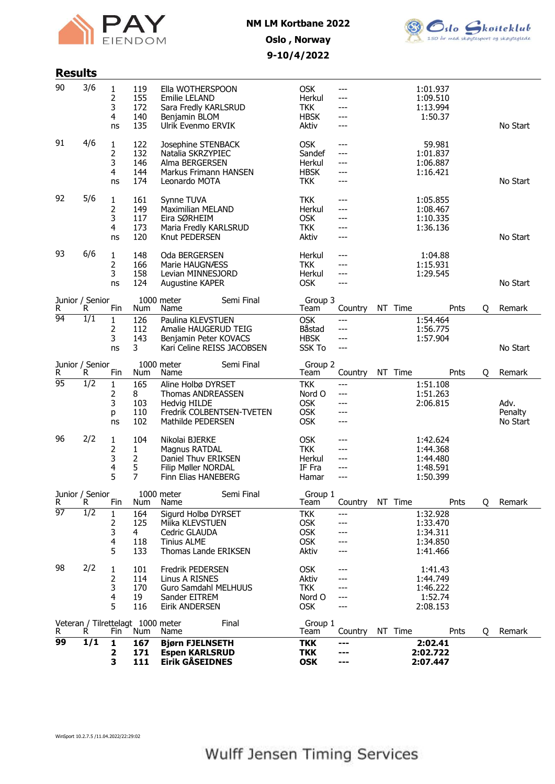



## Oslo , Norway 9-10/4/2022

| <b>Results</b>        |                           |                                                            |                                                          |                                                                                                                                                                                                                          |            |                                                                                                                         |                                                                    |         |                                                                                              |      |   |                             |
|-----------------------|---------------------------|------------------------------------------------------------|----------------------------------------------------------|--------------------------------------------------------------------------------------------------------------------------------------------------------------------------------------------------------------------------|------------|-------------------------------------------------------------------------------------------------------------------------|--------------------------------------------------------------------|---------|----------------------------------------------------------------------------------------------|------|---|-----------------------------|
| 90                    | 3/6                       | 1<br>2<br>3<br>4<br>ns                                     | 119<br>155<br>172<br>140<br>135                          | Ella WOTHERSPOON<br>Emilie LELAND<br>Sara Fredly KARLSRUD<br>Benjamin BLOM<br>Ulrik Evenmo ERVIK                                                                                                                         |            | <b>OSK</b><br>Herkul<br><b>TKK</b><br><b>HBSK</b><br>Aktiv                                                              | ---<br>---<br>---<br>---<br>---                                    |         | 1:01.937<br>1:09.510<br>1:13.994<br>1:50.37                                                  |      |   | No Start                    |
| 91                    | 4/6                       | 1<br>2<br>3<br>4<br>ns                                     | 122<br>132<br>146<br>144<br>174                          | Josephine STENBACK<br>Natalia SKRZYPIEC<br>Alma BERGERSEN<br>Markus Frimann HANSEN<br>Leonardo MOTA                                                                                                                      |            | <b>OSK</b><br>Sandef<br>Herkul<br><b>HBSK</b><br><b>TKK</b>                                                             | ---<br>---<br>---<br>---<br>---                                    |         | 59.981<br>1:01.837<br>1:06.887<br>1:16.421                                                   |      |   | No Start                    |
| 92                    | 5/6                       | 1<br>2<br>3<br>4<br>ns                                     | 161<br>149<br>117<br>173<br>120                          | Synne TUVA<br><b>Maximilian MELAND</b><br>Eira SØRHEIM<br>Maria Fredly KARLSRUD<br>Knut PEDERSEN                                                                                                                         |            | <b>TKK</b><br>Herkul<br><b>OSK</b><br><b>TKK</b><br>Aktiv                                                               | ---<br>---<br>---<br>---<br>---                                    |         | 1:05.855<br>1:08.467<br>1:10.335<br>1:36.136                                                 |      |   | No Start                    |
| 93                    | 6/6                       | 1<br>2<br>3<br>ns                                          | 148<br>166<br>158<br>124                                 | Oda BERGERSEN<br>Marie HAUGNÆSS<br>Levian MINNESJORD<br>Augustine KAPER                                                                                                                                                  |            | Herkul<br><b>TKK</b><br>Herkul<br><b>OSK</b>                                                                            | ---<br>---<br>---<br>---                                           |         | 1:04.88<br>1:15.931<br>1:29.545                                                              |      |   | No Start                    |
|                       | Junior / Senior<br>R<br>R | Fin                                                        | Num                                                      | 1000 meter<br>Name                                                                                                                                                                                                       | Semi Final | Group 3<br>Team                                                                                                         | Country                                                            | NT Time |                                                                                              | Pnts | Q | Remark                      |
| 94                    | 1/1                       | $\mathbf{1}$<br>2<br>3<br>ns                               | 126<br>112<br>143<br>3                                   | Paulina KLEVSTUEN<br>Amalie HAUGERUD TEIG<br>Benjamin Peter KOVACS<br>Kari Celine REISS JACOBSEN                                                                                                                         |            | <b>OSK</b><br>Båstad<br><b>HBSK</b><br><b>SSK To</b>                                                                    | ---<br>$---$<br>---<br>---                                         |         | 1:54.464<br>1:56.775<br>1:57.904                                                             |      |   | No Start                    |
| R                     | Junior / Senior<br>R      | Fin                                                        | Num                                                      | 1000 meter<br>Name                                                                                                                                                                                                       | Semi Final | Group 2<br>Team                                                                                                         | Country                                                            | NT Time |                                                                                              | Pnts | Q | Remark                      |
| $\overline{95}$<br>96 | $\overline{1/2}$<br>2/2   | $\mathbf{1}$<br>2<br>3<br>р<br>ns<br>1<br>2<br>3<br>4<br>5 | 165<br>8<br>103<br>110<br>102<br>104<br>1<br>2<br>5<br>7 | Aline Holbø DYRSET<br><b>Thomas ANDREASSEN</b><br>Hedvig HILDE<br>Fredrik COLBENTSEN-TVETEN<br>Mathilde PEDERSEN<br>Nikolai BJERKE<br>Magnus RATDAL<br>Daniel Thuv ERIKSEN<br>Filip Møller NORDAL<br>Finn Elias HANEBERG |            | <b>TKK</b><br>Nord O<br><b>OSK</b><br><b>OSK</b><br><b>OSK</b><br><b>OSK</b><br><b>TKK</b><br>Herkul<br>IF Fra<br>Hamar | ---<br>---<br>---<br>---<br>---<br>---<br>---<br>---<br>---<br>--- |         | 1:51.108<br>1:51.263<br>2:06.815<br>1:42.624<br>1:44.368<br>1:44.480<br>1:48.591<br>1:50.399 |      |   | Adv.<br>Penalty<br>No Start |
|                       | Junior / Senior           |                                                            |                                                          | 1000 meter                                                                                                                                                                                                               | Semi Final | Group 1                                                                                                                 |                                                                    |         |                                                                                              |      |   |                             |
| R.                    | R.                        | Fin                                                        | Num                                                      | Name                                                                                                                                                                                                                     |            | Team                                                                                                                    | Country                                                            | NT Time |                                                                                              | Pnts | Q | Remark                      |
| 97                    | $\overline{1/2}$          | 1<br>2<br>3<br>4<br>5                                      | 164<br>125<br>4<br>118<br>133                            | Sigurd Holbø DYRSET<br>Miika KLEVSTUEN<br>Cedric GLAUDA<br><b>Tinius ALME</b><br>Thomas Lande ERIKSEN                                                                                                                    |            | <b>TKK</b><br><b>OSK</b><br><b>OSK</b><br><b>OSK</b><br>Aktiv                                                           | ---<br>---                                                         |         | 1:32.928<br>1:33.470<br>1:34.311<br>1:34.850<br>1:41.466                                     |      |   |                             |
| 98                    | 2/2                       | 1<br>2<br>3<br>4<br>5                                      | 101<br>114<br>170<br>19<br>116                           | Fredrik PEDERSEN<br>Linus A RISNES<br><b>Guro Samdahl MELHUUS</b><br>Sander EITREM<br><b>Eirik ANDERSEN</b>                                                                                                              |            | <b>OSK</b><br>Aktiv<br><b>TKK</b><br>Nord O<br><b>OSK</b>                                                               | ---<br>---                                                         |         | 1:41.43<br>1:44.749<br>1:46.222<br>1:52.74<br>2:08.153                                       |      |   |                             |
| R                     | R.                        | Fin                                                        | Veteran / Tilrettelagt 1000 meter<br>Num                 | Name                                                                                                                                                                                                                     | Final      | Group 1<br>Team                                                                                                         | Country                                                            | NT Time |                                                                                              | Pnts | Q | Remark                      |
| 99                    | $\overline{1/1}$          | 1<br>2<br>з                                                | 167<br>171<br>111                                        | <b>Bjørn FJELNSETH</b><br><b>Espen KARLSRUD</b><br><b>Eirik GÅSEIDNES</b>                                                                                                                                                |            | <b>TKK</b><br><b>TKK</b><br><b>OSK</b>                                                                                  | ---<br>---<br>---                                                  |         | 2:02.41<br>2:02.722<br>2:07.447                                                              |      |   |                             |

WinSport 10.2.7.5 /11.04.2022/22:29:02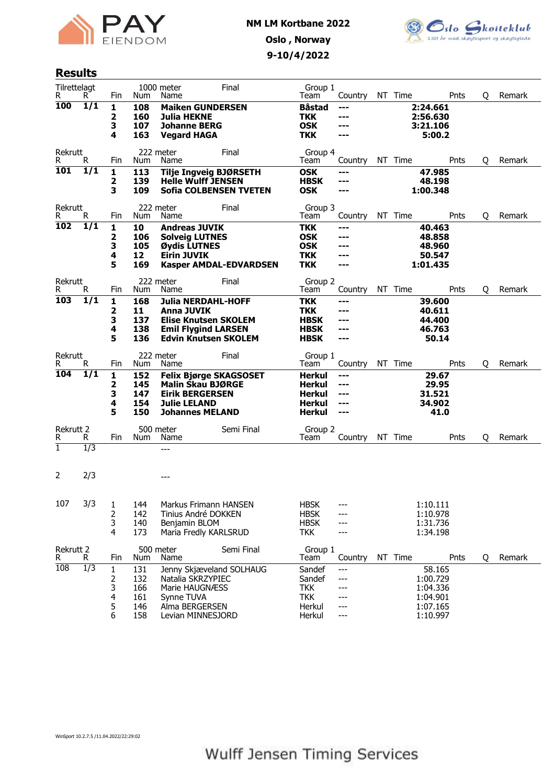



### Results

| Tilrettelagt<br>R. | R.               | Fin          | Num        | 1000 meter<br>Name                                         | Final                         | Group 1<br>Team             | Country    | NT Time |                      | Pnts | Q | Remark |
|--------------------|------------------|--------------|------------|------------------------------------------------------------|-------------------------------|-----------------------------|------------|---------|----------------------|------|---|--------|
| 100                | 1/1              | 1<br>2       | 108<br>160 | <b>Maiken GUNDERSEN</b><br><b>Julia HEKNE</b>              |                               | <b>Båstad</b><br><b>TKK</b> | ---<br>--- |         | 2:24.661<br>2:56.630 |      |   |        |
|                    |                  | 3<br>4       | 107<br>163 | <b>Johanne BERG</b><br><b>Vegard HAGA</b>                  |                               | <b>OSK</b><br><b>TKK</b>    | ---        |         | 3:21.106<br>5:00.2   |      |   |        |
|                    |                  |              |            |                                                            |                               |                             |            |         |                      |      |   |        |
| Rekrutt<br>R.      | R.               | Fin          | Num        | 222 meter<br>Name                                          | Final                         | Group 4<br>Team             | Country    | NT Time |                      | Pnts | 0 | Remark |
| <b>101</b>         | 1/1              | 1<br>2       | 113<br>139 | <b>Tilje Ingveig BJØRSETH</b><br><b>Helle Wulff JENSEN</b> |                               | <b>OSK</b><br><b>HBSK</b>   | ---<br>--- |         | 47.985<br>48.198     |      |   |        |
|                    |                  | 3            | 109        |                                                            | <b>Sofia COLBENSEN TVETEN</b> | <b>OSK</b>                  | ---        |         | 1:00.348             |      |   |        |
| Rekrutt<br>R       | R.               | Fin          | Num        | 222 meter<br>Name                                          | Final                         | Group 3<br>Team             | Country    | NT Time |                      | Pnts | 0 | Remark |
| 102                | 1/1              | $\mathbf{1}$ | 10         | <b>Andreas JUVIK</b>                                       |                               | <b>TKK</b>                  | ---        |         | 40.463               |      |   |        |
|                    |                  | 2            | 106        | <b>Solveig LUTNES</b>                                      |                               | <b>OSK</b>                  | ---        |         | 48.858               |      |   |        |
|                    |                  | 3            | 105        | Øydis LUTNES                                               |                               | <b>OSK</b>                  |            |         | 48.960               |      |   |        |
|                    |                  | 4<br>5       | 12<br>169  | <b>Eirin JUVIK</b>                                         | <b>Kasper AMDAL-EDVARDSEN</b> | <b>TKK</b><br><b>TKK</b>    | ---<br>--- |         | 50.547<br>1:01.435   |      |   |        |
| Rekrutt            |                  |              |            | 222 meter                                                  | Final                         | Group 2                     |            |         |                      |      |   |        |
| R                  | R                | Fin          | Num        | Name                                                       |                               | Team                        | Country    | NT Time |                      | Pnts | Q | Remark |
| 103                | $\overline{1/1}$ | 1            | 168        | Julia NERDAHL-HOFF                                         |                               | <b>TKK</b>                  | ---        |         | 39.600               |      |   |        |
|                    |                  | 2<br>3       | 11<br>137  | <b>Anna JUVIK</b><br><b>Elise Knutsen SKOLEM</b>           |                               | <b>TKK</b><br><b>HBSK</b>   | ---<br>--- |         | 40.611<br>44.400     |      |   |        |
|                    |                  | 4            | 138        | <b>Emil Flygind LARSEN</b>                                 |                               | <b>HBSK</b>                 | ---        |         | 46.763               |      |   |        |
|                    |                  | 5            | 136        | <b>Edvin Knutsen SKOLEM</b>                                |                               | <b>HBSK</b>                 | ---        |         | 50.14                |      |   |        |
| Rekrutt<br>R.      | R.               | Fin          | Num        | 222 meter<br>Name                                          | Final                         | Group 1<br>Team             | Country    | NT Time |                      | Pnts | Q | Remark |
| 104                | $\overline{1/1}$ | 1            | 152        | <b>Felix Bjørge SKAGSOSET</b>                              |                               | Herkul                      | ---        |         | 29.67                |      |   |        |
|                    |                  | 2<br>3       | 145<br>147 | <b>Malin Skau BJØRGE</b><br><b>Eirik BERGERSEN</b>         |                               | Herkul<br>Herkul            | ---<br>--- |         | 29.95<br>31.521      |      |   |        |
|                    |                  | 4            | 154        | <b>Julie LELAND</b>                                        |                               | Herkul                      | ---        |         | 34.902               |      |   |        |
|                    |                  | 5            | 150        | <b>Johannes MELAND</b>                                     |                               | <b>Herkul</b>               | ---        |         | 41.0                 |      |   |        |
| Rekrutt 2          |                  |              |            | 500 meter                                                  | Semi Final                    | Group 2                     |            |         |                      |      |   |        |
| R<br>$\mathbf{1}$  | R<br>1/3         | Fin          | Num        | Name<br>$---$                                              |                               | Team                        | Country    | NT Time |                      | Pnts | O | Remark |
|                    |                  |              |            |                                                            |                               |                             |            |         |                      |      |   |        |
| 2                  | 2/3              |              |            | ---                                                        |                               |                             |            |         |                      |      |   |        |
|                    |                  |              |            |                                                            |                               |                             |            |         |                      |      |   |        |
| 107                | 3/3              | 1            | 144        | Markus Frimann HANSEN                                      |                               | <b>HBSK</b>                 |            |         | 1:10.111             |      |   |        |
|                    |                  | 2            | 142        | Tinius André DOKKEN                                        |                               | <b>HBSK</b>                 |            |         | 1:10.978             |      |   |        |
|                    |                  | 3            | 140        | Benjamin BLOM                                              |                               | <b>HBSK</b>                 | ---        |         | 1:31.736             |      |   |        |
|                    |                  | 4            | 173        | Maria Fredly KARLSRUD                                      |                               | <b>TKK</b>                  | ---        |         | 1:34.198             |      |   |        |
| Rekrutt 2<br>R     | R.               | Fin          | Num        | 500 meter<br>Name                                          | Semi Final                    | Group 1<br>Team             | Country    | NT Time |                      | Pnts | Q | Remark |
| 108                | $\overline{1/3}$ | $\mathbf{1}$ | 131        | Jenny Skjæveland SOLHAUG                                   |                               | Sandef                      | ---        |         | 58.165               |      |   |        |
|                    |                  | 2<br>3       | 132<br>166 | Natalia SKRZYPIEC<br>Marie HAUGNÆSS                        |                               | Sandef<br><b>TKK</b>        | ---        |         | 1:00.729<br>1:04.336 |      |   |        |
|                    |                  | 4            | 161        | Synne TUVA                                                 |                               | <b>TKK</b>                  | ---        |         | 1:04.901             |      |   |        |
|                    |                  | 5            | 146        | Alma BERGERSEN                                             |                               | Herkul                      | ---        |         | 1:07.165             |      |   |        |
|                    |                  | 6            | 158        | Levian MINNESJORD                                          |                               | Herkul                      | $---$      |         | 1:10.997             |      |   |        |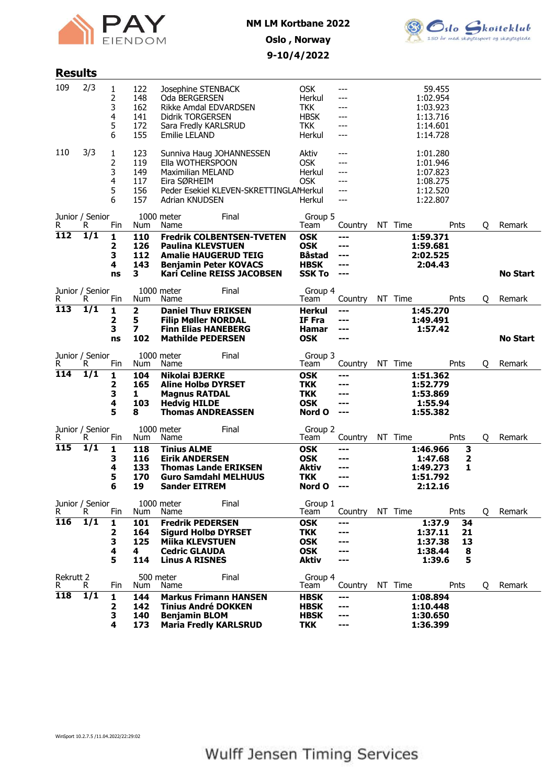



# 9-10/4/2022

| <b>Results</b>   |                       |                            |                                        |                                                                                                                                   |                                                                |                                                                           |                                        |         |                                                                      |                          |   |                 |
|------------------|-----------------------|----------------------------|----------------------------------------|-----------------------------------------------------------------------------------------------------------------------------------|----------------------------------------------------------------|---------------------------------------------------------------------------|----------------------------------------|---------|----------------------------------------------------------------------|--------------------------|---|-----------------|
| 109              | 2/3                   | 1<br>2<br>3<br>4<br>5<br>6 | 122<br>148<br>162<br>141<br>172<br>155 | Josephine STENBACK<br>Oda BERGERSEN<br>Rikke Amdal EDVARDSEN<br><b>Didrik TORGERSEN</b><br>Sara Fredly KARLSRUD<br>Emilie LELAND  |                                                                | <b>OSK</b><br>Herkul<br><b>TKK</b><br><b>HBSK</b><br><b>TKK</b><br>Herkul | ---<br>---<br>---<br>---<br>---<br>--- |         | 59.455<br>1:02.954<br>1:03.923<br>1:13.716<br>1:14.601<br>1:14.728   |                          |   |                 |
| 110              | 3/3                   | 1<br>2<br>3<br>4<br>5<br>6 | 123<br>119<br>149<br>117<br>156<br>157 | Sunniva Haug JOHANNESSEN<br>Ella WOTHERSPOON<br><b>Maximilian MELAND</b><br>Eira SØRHEIM<br>Adrian KNUDSEN                        | Peder Esekiel KLEVEN-SKRETTINGLAMerkul                         | Aktiv<br><b>OSK</b><br>Herkul<br>OSK<br>Herkul                            | ---<br>---<br>---<br>---<br>---<br>--- |         | 1:01.280<br>1:01.946<br>1:07.823<br>1:08.275<br>1:12.520<br>1:22.807 |                          |   |                 |
| R                | Junior / Senior<br>R  | Fin                        | Num                                    | 1000 meter<br>Name                                                                                                                | Final                                                          | Group 5<br>Team                                                           | Country                                | NT Time |                                                                      | Pnts                     | Q | Remark          |
| $\overline{112}$ | 1/1                   | 1<br>2<br>3<br>4<br>ns     | 110<br>126<br>112<br>143<br>3          | <b>Paulina KLEVSTUEN</b><br><b>Amalie HAUGERUD TEIG</b><br><b>Benjamin Peter KOVACS</b>                                           | <b>Fredrik COLBENTSEN-TVETEN</b><br>Kari Celine REISS JACOBSEN | <b>OSK</b><br><b>OSK</b><br><b>Båstad</b><br><b>HBSK</b><br><b>SSK To</b> | ---<br>---<br>---<br>---<br>$--$       |         | 1:59.371<br>1:59.681<br>2:02.525<br>2:04.43                          |                          |   | <b>No Start</b> |
| R                | Junior / Senior<br>R  | Fin                        | Num                                    | 1000 meter<br>Name                                                                                                                | Final                                                          | Group 4<br>Team                                                           | Country                                | NT Time |                                                                      | Pnts                     | Q | Remark          |
| 113              | 1/1                   | 1<br>2<br>3<br>ns          | 2<br>5<br>7<br>102                     | <b>Daniel Thuy ERIKSEN</b><br><b>Filip Møller NORDAL</b><br><b>Finn Elias HANEBERG</b><br><b>Mathilde PEDERSEN</b>                |                                                                | Herkul<br>IF Fra<br>Hamar<br><b>OSK</b>                                   | ---<br>---<br>---                      |         | 1:45.270<br>1:49.491<br>1:57.42                                      |                          |   | <b>No Start</b> |
| R                | Junior / Senior<br>R  | Fin                        | Num                                    | 1000 meter<br>Name                                                                                                                | Final                                                          | Group 3<br>Team                                                           | Country                                | NT Time |                                                                      | Pnts                     | Q | Remark          |
| 114              | $\overline{1/1}$      | 1<br>2<br>3<br>4<br>5      | 104<br>165<br>1<br>103<br>8            | <b>Nikolai BJERKE</b><br><b>Aline Holbø DYRSET</b><br><b>Magnus RATDAL</b><br><b>Hedvig HILDE</b><br><b>Thomas ANDREASSEN</b>     |                                                                | <b>OSK</b><br><b>TKK</b><br><b>TKK</b><br><b>OSK</b><br>Nord O            | ---<br>---<br>---<br>---<br>---        |         | 1:51.362<br>1:52.779<br>1:53.869<br>1:55.94<br>1:55.382              |                          |   |                 |
| R                | Junior / Senior<br>R  | Fin                        | Num                                    | 1000 meter<br>Name                                                                                                                | Final                                                          | Group 2<br>Team                                                           | Country                                | NT Time |                                                                      | Pnts                     | Q | Remark          |
| 115              | $\overline{1/1}$      | 1<br>3<br>4<br>5<br>6      | 118<br>116<br>133<br>170<br>19         | <b>Tinius ALME</b><br><b>Eirik ANDERSEN</b><br><b>Thomas Lande ERIKSEN</b><br><b>Guro Samdahl MELHUUS</b><br><b>Sander EITREM</b> |                                                                | <b>OSK</b><br><b>OSK</b><br>Aktiv<br><b>TKK</b><br>Nord O                 | ---<br>---<br>---<br>---               |         | 1:46.966<br>1:47.68<br>1:49.273<br>1:51.792<br>2:12.16               | 3<br>2<br>1              |   |                 |
| R                | Junior / Senior<br>R. | Fin                        | Num                                    | 1000 meter<br>Name                                                                                                                | Final                                                          | Group 1<br>Team                                                           | Country                                | NT Time |                                                                      | Pnts                     | 0 | Remark          |
| <b>116</b>       | $\overline{1/1}$      | 1<br>2<br>3<br>4<br>5      | 101<br>164<br>125<br>4<br>114          | <b>Fredrik PEDERSEN</b><br><b>Sigurd Holbø DYRSET</b><br><b>Miika KLEVSTUEN</b><br><b>Cedric GLAUDA</b><br><b>Linus A RISNES</b>  |                                                                | <b>OSK</b><br><b>TKK</b><br><b>OSK</b><br><b>OSK</b><br><b>Aktiv</b>      | ---<br>---<br>---<br>---               |         | 1:37.9<br>1:37.11<br>1:37.38<br>1:38.44<br>1:39.6                    | 34<br>21<br>13<br>8<br>5 |   |                 |
| Rekrutt 2<br>R   | R                     | Fin                        | 500 meter<br>Num                       | Name                                                                                                                              | Final                                                          | Group 4<br>Team                                                           | Country                                | NT Time |                                                                      | Pnts                     | Q | Remark          |
| 118              | 1/1                   | 1<br>2<br>3<br>4           | 144<br>142<br>140<br>173               | <b>Markus Frimann HANSEN</b><br><b>Tinius André DOKKEN</b><br><b>Benjamin BLOM</b><br><b>Maria Fredly KARLSRUD</b>                |                                                                | <b>HBSK</b><br><b>HBSK</b><br><b>HBSK</b><br><b>TKK</b>                   | ---<br>---<br>---<br>---               |         | 1:08.894<br>1:10.448<br>1:30.650<br>1:36.399                         |                          |   |                 |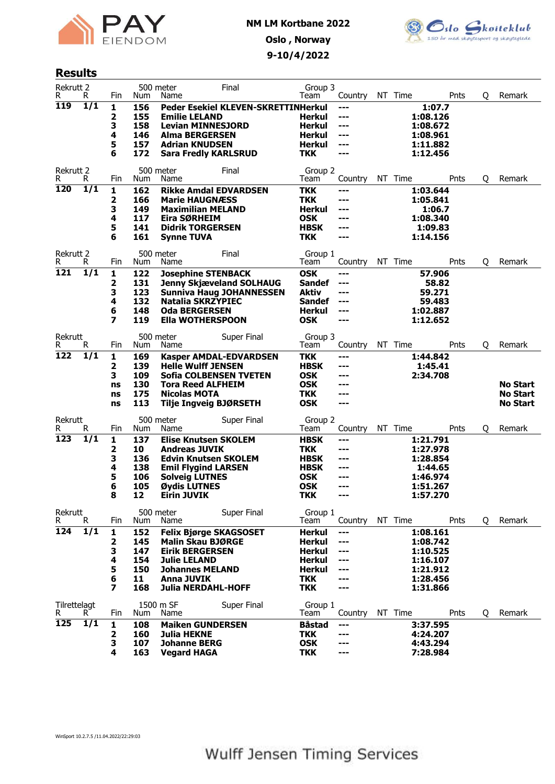



## Results

| Rekrutt 2          |                  |          |            | 500 meter                                       | Final                               | Group 3                     |              |                      |        |   |                             |
|--------------------|------------------|----------|------------|-------------------------------------------------|-------------------------------------|-----------------------------|--------------|----------------------|--------|---|-----------------------------|
| R<br>119           | R<br>1/1         | Fin      | Num        | Name                                            |                                     | Team                        | Country      | NT Time              | Pnts   | Q | Remark                      |
|                    |                  | 1<br>2   | 156<br>155 | <b>Emilie LELAND</b>                            | Peder Esekiel KLEVEN-SKRETTINHerkul | Herkul                      | $---$<br>--- | 1:08.126             | 1:07.7 |   |                             |
|                    |                  | З        | 158        | <b>Levian MINNESJORD</b>                        |                                     | <b>Herkul</b>               | ---          | 1:08.672             |        |   |                             |
|                    |                  | 4        | 146        | <b>Alma BERGERSEN</b>                           |                                     | <b>Herkul</b>               | ---          | 1:08.961             |        |   |                             |
|                    |                  | 5        | 157        | <b>Adrian KNUDSEN</b>                           |                                     | Herkul                      | ---          | 1:11.882             |        |   |                             |
|                    |                  | 6        | 172        | <b>Sara Fredly KARLSRUD</b>                     |                                     | <b>TKK</b>                  | ---          | 1:12.456             |        |   |                             |
|                    |                  |          |            |                                                 |                                     |                             |              |                      |        |   |                             |
| Rekrutt 2<br>R.    | R.               | Fin      | Num        | 500 meter<br>Name                               | Final                               | Group 2<br>Team             | Country      | NT Time              | Pnts   | Q | Remark                      |
| 120                | 1/1              | 1        | 162        | <b>Rikke Amdal EDVARDSEN</b>                    |                                     | <b>TKK</b>                  | ---          | 1:03.644             |        |   |                             |
|                    |                  | 2        | 166        | <b>Marie HAUGNÆSS</b>                           |                                     | <b>TKK</b>                  | ---          | 1:05.841             |        |   |                             |
|                    |                  | З        | 149        | <b>Maximilian MELAND</b>                        |                                     | <b>Herkul</b>               | ---          |                      | 1:06.7 |   |                             |
|                    |                  | 4        | 117        | Eira SØRHEIM                                    |                                     | <b>OSK</b>                  | ---          | 1:08.340             |        |   |                             |
|                    |                  | 5        | 141        | <b>Didrik TORGERSEN</b>                         |                                     | <b>HBSK</b>                 | ---          | 1:09.83              |        |   |                             |
|                    |                  | 6        | 161        | <b>Synne TUVA</b>                               |                                     | <b>TKK</b>                  | ---          | 1:14.156             |        |   |                             |
| Rekrutt 2          |                  |          |            | 500 meter                                       | Final                               | Group 1                     |              |                      |        |   |                             |
| R.                 | R.               | Fin      | Num        | Name                                            |                                     | Team                        | Country      | NT Time              | Pnts   | Q | Remark                      |
| $\overline{121}$   | $\overline{1/1}$ | 1        | 122        | <b>Josephine STENBACK</b>                       |                                     | <b>OSK</b>                  | ---          | 57.906               |        |   |                             |
|                    |                  | 2        | 131        |                                                 | <b>Jenny Skjæveland SOLHAUG</b>     | <b>Sandef</b>               | ---          |                      | 58.82  |   |                             |
|                    |                  | З        | 123        |                                                 | <b>Sunniva Haug JOHANNESSEN</b>     | Aktiv                       | ---          | 59.271               |        |   |                             |
|                    |                  | 4        | 132        | <b>Natalia SKRZYPIEC</b>                        |                                     | Sandef<br><b>Herkul</b>     | ---          | 59.483               |        |   |                             |
|                    |                  | 6<br>7   | 148<br>119 | <b>Oda BERGERSEN</b><br>Ella WOTHERSPOON        |                                     | <b>OSK</b>                  | ---<br>---   | 1:02.887<br>1:12.652 |        |   |                             |
|                    |                  |          |            |                                                 |                                     |                             |              |                      |        |   |                             |
| Rekrutt            |                  |          |            | 500 meter                                       | Super Final                         | Group 3                     |              |                      |        |   |                             |
| R.                 | R                | Fin      | Num        | Name                                            |                                     | Team                        | Country      | NT Time              | Pnts   | Q | Remark                      |
| 122                | 1/1              | 1        | 169        |                                                 | <b>Kasper AMDAL-EDVARDSEN</b>       | <b>TKK</b>                  | ---          | 1:44.842             |        |   |                             |
|                    |                  | 2        | 139        | <b>Helle Wulff JENSEN</b>                       |                                     | <b>HBSK</b>                 | ---          | 1:45.41              |        |   |                             |
|                    |                  | 3        | 109        |                                                 | <b>Sofia COLBENSEN TVETEN</b>       | <b>OSK</b>                  | ---          | 2:34.708             |        |   |                             |
|                    |                  | ns<br>ns | 130<br>175 | <b>Tora Reed ALFHEIM</b><br><b>Nicolas MOTA</b> |                                     | <b>OSK</b><br><b>TKK</b>    | ---<br>---   |                      |        |   | No Start<br><b>No Start</b> |
|                    |                  | ns       | 113        | Tilje Ingveig BJØRSETH                          |                                     | <b>OSK</b>                  | $--$         |                      |        |   | <b>No Start</b>             |
|                    |                  |          |            |                                                 |                                     |                             |              |                      |        |   |                             |
| Rekrutt<br>R.      | R                | Fin      | Num        | 500 meter<br>Name                               | Super Final                         | Group 2<br>Team             | Country      | NT Time              | Pnts   | Q | Remark                      |
| 123                | 1/1              | 1        | 137        | <b>Elise Knutsen SKOLEM</b>                     |                                     | <b>HBSK</b>                 | ---          | 1:21.791             |        |   |                             |
|                    |                  | 2        | 10         | <b>Andreas JUVIK</b>                            |                                     | <b>TKK</b>                  | ---          | 1:27.978             |        |   |                             |
|                    |                  | З        | 136        | <b>Edvin Knutsen SKOLEM</b>                     |                                     | <b>HBSK</b>                 | ---          | 1:28.854             |        |   |                             |
|                    |                  | 4        | 138        | <b>Emil Flygind LARSEN</b>                      |                                     | <b>HBSK</b>                 | ---          | 1:44.65              |        |   |                             |
|                    |                  | 5        | 106        | <b>Solveig LUTNES</b>                           |                                     | <b>OSK</b>                  | ---          | 1:46.974             |        |   |                             |
|                    |                  | 6        | 105        | Øydis LUTNES                                    |                                     | <b>OSK</b>                  | ---          | 1:51.267             |        |   |                             |
|                    |                  | 8        | 12         | <b>Eirin JUVIK</b>                              |                                     | <b>TKK</b>                  | ---          | 1:57.270             |        |   |                             |
| Rekrutt            |                  |          |            | 500 meter                                       | Super Final                         | Group 1                     |              |                      |        |   |                             |
| R                  | R.               | Fin      | Num        | Name                                            |                                     | Team                        | Country      | NT Time              | Pnts   | Q | Remark                      |
| 124                | 1/1              | 1        | 152        | <b>Felix Bjørge SKAGSOSET</b>                   |                                     | <b>Herkul</b>               | $---$        | 1:08.161             |        |   |                             |
|                    |                  | 2        | 145        | <b>Malin Skau BJØRGE</b>                        |                                     | <b>Herkul</b>               | ---          | 1:08.742             |        |   |                             |
|                    |                  | 3        | 147        | <b>Eirik BERGERSEN</b>                          |                                     | <b>Herkul</b>               | ---          | 1:10.525             |        |   |                             |
|                    |                  | 4        | 154        | <b>Julie LELAND</b>                             |                                     | <b>Herkul</b>               | ---          | 1:16.107             |        |   |                             |
|                    |                  | 5<br>6   | 150<br>11  | <b>Johannes MELAND</b><br><b>Anna JUVIK</b>     |                                     | <b>Herkul</b><br><b>TKK</b> | ---          | 1:21.912<br>1:28.456 |        |   |                             |
|                    |                  | 7        | 168        | <b>Julia NERDAHL-HOFF</b>                       |                                     | <b>TKK</b>                  | ---          | 1:31.866             |        |   |                             |
|                    |                  |          |            |                                                 |                                     |                             |              |                      |        |   |                             |
| Tilrettelagt<br>R. | R.               | Fin      | Num        | 1500 m SF<br>Name                               | Super Final                         | Group 1<br>Team             | Country      | NT Time              | Pnts   | Q | Remark                      |
| 125                | 1/1              |          | 108        |                                                 |                                     | <b>Båstad</b>               |              |                      |        |   |                             |
|                    |                  | 1<br>2   | 160        | <b>Maiken GUNDERSEN</b><br>Julia HEKNE          |                                     | <b>TKK</b>                  | $--$<br>---  | 3:37.595<br>4:24.207 |        |   |                             |
|                    |                  | З        | 107        | <b>Johanne BERG</b>                             |                                     | <b>OSK</b>                  | ---          | 4:43.294             |        |   |                             |
|                    |                  | 4        | 163        | <b>Vegard HAGA</b>                              |                                     | <b>TKK</b>                  | ---          | 7:28.984             |        |   |                             |